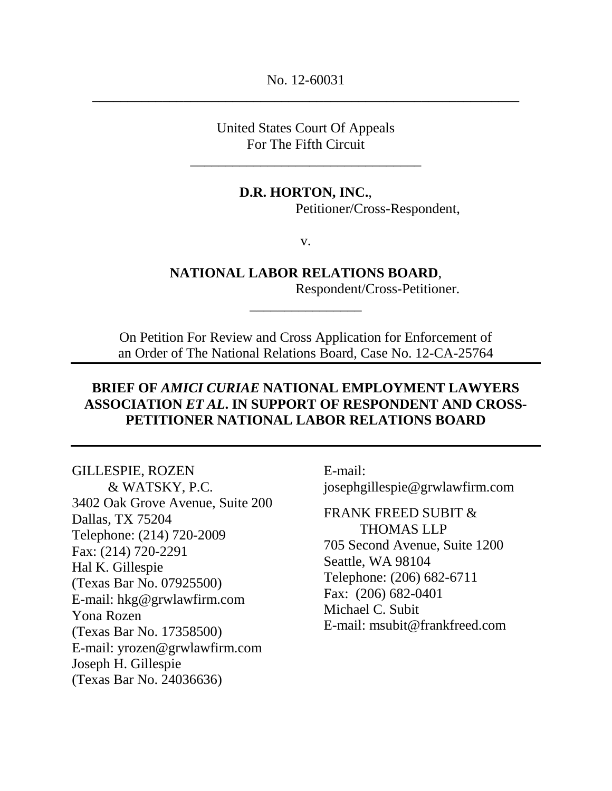No. 12-60031 \_\_\_\_\_\_\_\_\_\_\_\_\_\_\_\_\_\_\_\_\_\_\_\_\_\_\_\_\_\_\_\_\_\_\_\_\_\_\_\_\_\_\_\_\_\_\_\_\_\_\_\_\_\_\_\_\_\_\_\_\_

> United States Court Of Appeals For The Fifth Circuit

\_\_\_\_\_\_\_\_\_\_\_\_\_\_\_\_\_\_\_\_\_\_\_\_\_\_\_\_\_\_\_\_\_

## **D.R. HORTON, INC.**,

Petitioner/Cross-Respondent,

v.

## **NATIONAL LABOR RELATIONS BOARD**,

*\_\_\_\_\_\_\_\_\_\_\_\_\_\_\_\_*

Respondent/Cross-Petitioner*.*

On Petition For Review and Cross Application for Enforcement of an Order of The National Relations Board, Case No. 12-CA-25764

# **BRIEF OF** *AMICI CURIAE* **NATIONAL EMPLOYMENT LAWYERS ASSOCIATION** *ET AL***. IN SUPPORT OF RESPONDENT AND CROSS-PETITIONER NATIONAL LABOR RELATIONS BOARD**

#### GILLESPIE, ROZEN

& WATSKY, P.C. 3402 Oak Grove Avenue, Suite 200 Dallas, TX 75204 Telephone: (214) 720-2009 Fax: (214) 720-2291 Hal K. Gillespie (Texas Bar No. 07925500) E-mail: hkg@grwlawfirm.com Yona Rozen (Texas Bar No. 17358500) E-mail: yrozen@grwlawfirm.com Joseph H. Gillespie (Texas Bar No. 24036636)

E-mail: josephgillespie@grwlawfirm.com

FRANK FREED SUBIT & THOMAS LLP 705 Second Avenue, Suite 1200 Seattle, WA 98104 Telephone: (206) 682-6711 Fax: (206) 682-0401 Michael C. Subit E-mail: msubit@frankfreed.com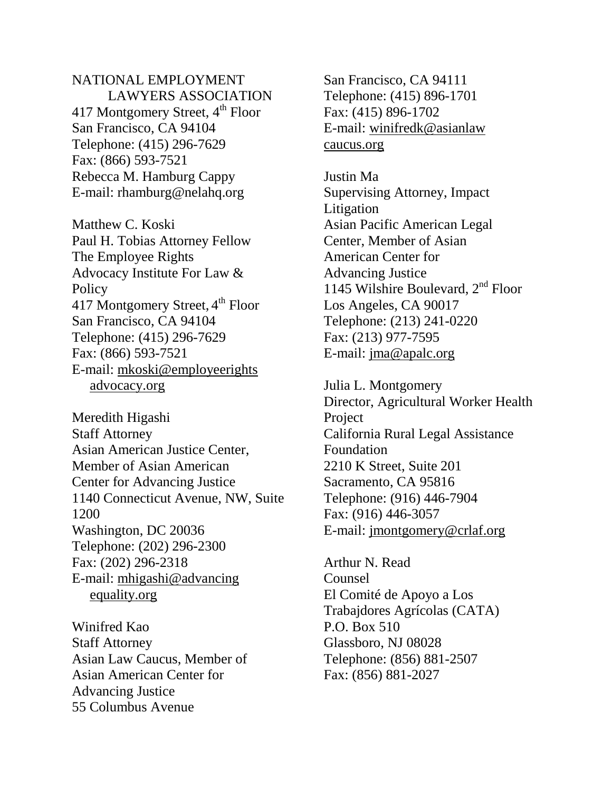# NATIONAL EMPLOYMENT LAWYERS ASSOCIATION 417 Montgomery Street,  $4<sup>th</sup>$  Floor San Francisco, CA 94104 Telephone: (415) 296-7629 Fax: (866) 593-7521 Rebecca M. Hamburg Cappy E-mail: rhamburg@nelahq.org

Matthew C. Koski Paul H. Tobias Attorney Fellow The Employee Rights Advocacy Institute For Law & **Policy** 417 Montgomery Street, 4<sup>th</sup> Floor San Francisco, CA 94104 Telephone: (415) 296-7629 Fax: (866) 593-7521 E-mail: mkoski@employeerights advocacy.org

Meredith Higashi Staff Attorney Asian American Justice Center, Member of Asian American Center for Advancing Justice 1140 Connecticut Avenue, NW, Suite 1200 Washington, DC 20036 Telephone: (202) 296-2300 Fax: (202) 296-2318 E-mail: mhigashi@advancing equality.org

Winifred Kao Staff Attorney Asian Law Caucus, Member of Asian American Center for Advancing Justice 55 Columbus Avenue

San Francisco, CA 94111 Telephone: (415) 896-1701 Fax: (415) 896-1702 E-mail: winifredk@asianlaw caucus.org

Justin Ma Supervising Attorney, Impact Litigation Asian Pacific American Legal Center, Member of Asian American Center for Advancing Justice 1145 Wilshire Boulevard, 2<sup>nd</sup> Floor Los Angeles, CA 90017 Telephone: (213) 241-0220 Fax: (213) 977-7595 E-mail: jma@apalc.org

Julia L. Montgomery Director, Agricultural Worker Health Project California Rural Legal Assistance Foundation 2210 K Street, Suite 201 Sacramento, CA 95816 Telephone: (916) 446-7904 Fax: (916) 446-3057 E-mail: jmontgomery@crlaf.org

Arthur N. Read Counsel El Comité de Apoyo a Los Trabajdores Agrícolas (CATA) P.O. Box 510 Glassboro, NJ 08028 Telephone: (856) 881-2507 Fax: (856) 881-2027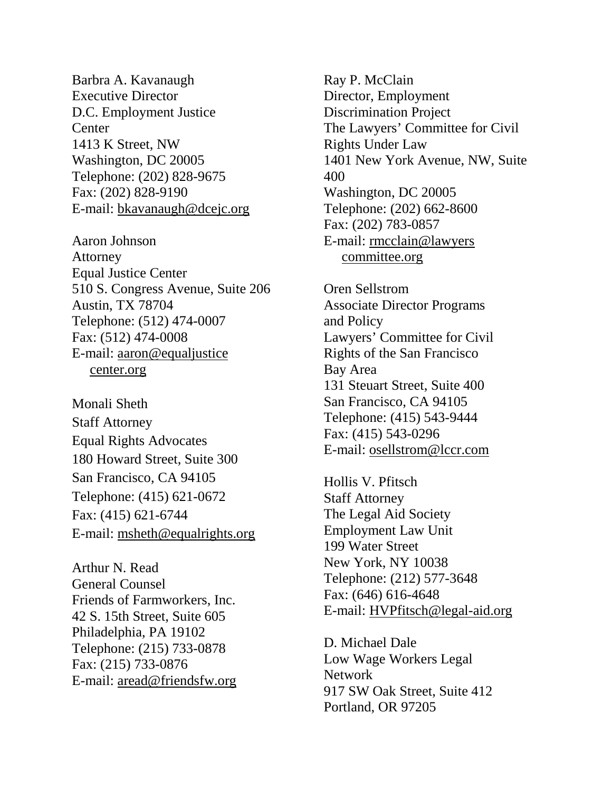Barbra A. Kavanaugh Executive Director D.C. Employment Justice Center 1413 K Street, NW Washington, DC 20005 Telephone: (202) 828-9675 Fax: (202) 828-9190 E-mail: bkavanaugh@dcejc.org

Aaron Johnson Attorney Equal Justice Center 510 S. Congress Avenue, Suite 206 Austin, TX 78704 Telephone: (512) 474-0007 Fax: (512) 474-0008 E-mail: aaron@equaljustice center.org

Monali Sheth Staff Attorney Equal Rights Advocates 180 Howard Street, Suite 300 San Francisco, CA 94105 Telephone: (415) 621-0672 Fax: (415) 621-6744 E-mail: msheth@equalrights.org

Arthur N. Read General Counsel Friends of Farmworkers, Inc. 42 S. 15th Street, Suite 605 Philadelphia, PA 19102 Telephone: (215) 733-0878 Fax: (215) 733-0876 E-mail: aread@friendsfw.org Ray P. McClain Director, Employment Discrimination Project The Lawyers' Committee for Civil Rights Under Law 1401 New York Avenue, NW, Suite 400 Washington, DC 20005 Telephone: (202) 662-8600 Fax: (202) 783-0857 E-mail: rmcclain@lawyers committee.org

Oren Sellstrom Associate Director Programs and Policy Lawyers' Committee for Civil Rights of the San Francisco Bay Area 131 Steuart Street, Suite 400 San Francisco, CA 94105 Telephone: (415) 543-9444 Fax: (415) 543-0296 E-mail: osellstrom@lccr.com

Hollis V. Pfitsch Staff Attorney The Legal Aid Society Employment Law Unit 199 Water Street New York, NY 10038 Telephone: (212) 577-3648 Fax: (646) 616-4648 E-mail: HVPfitsch@legal-aid.org

D. Michael Dale Low Wage Workers Legal Network 917 SW Oak Street, Suite 412 Portland, OR 97205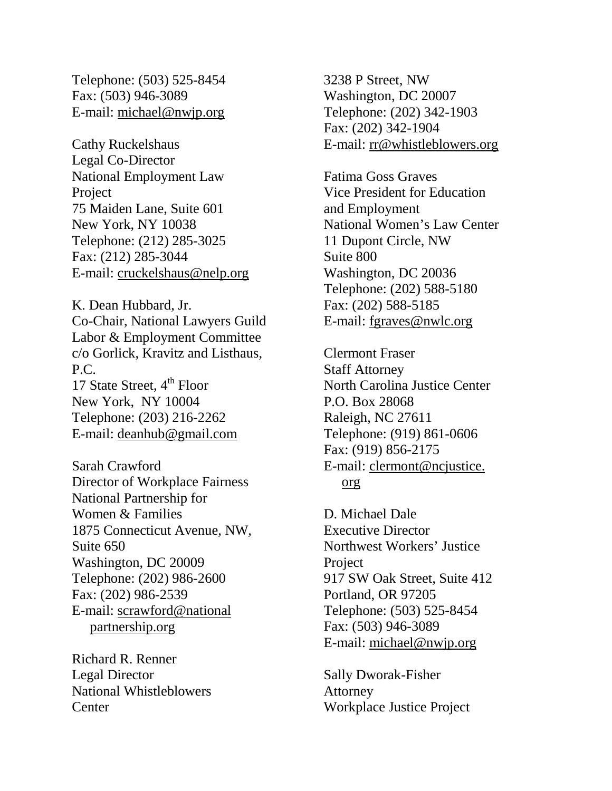Telephone: (503) 525-8454 Fax: (503) 946-3089 E-mail: michael@nwjp.org

Cathy Ruckelshaus Legal Co-Director National Employment Law Project 75 Maiden Lane, Suite 601 New York, NY 10038 Telephone: (212) 285-3025 Fax: (212) 285-3044 E-mail: cruckelshaus@nelp.org

K. Dean Hubbard, Jr. Co-Chair, National Lawyers Guild Labor & Employment Committee c/o Gorlick, Kravitz and Listhaus, P.C. 17 State Street,  $4<sup>th</sup>$  Floor New York, NY 10004 Telephone: (203) 216-2262 E-mail: deanhub@gmail.com

Sarah Crawford Director of Workplace Fairness National Partnership for Women & Families 1875 Connecticut Avenue, NW, Suite 650 Washington, DC 20009 Telephone: (202) 986-2600 Fax: (202) 986-2539 E-mail: scrawford@national partnership.org

Richard R. Renner Legal Director National Whistleblowers **Center** 

3238 P Street, NW Washington, DC 20007 Telephone: (202) 342-1903 Fax: (202) 342-1904 E-mail: rr@whistleblowers.org

Fatima Goss Graves Vice President for Education and Employment National Women's Law Center 11 Dupont Circle, NW Suite 800 Washington, DC 20036 Telephone: (202) 588-5180 Fax: (202) 588-5185 E-mail: fgraves@nwlc.org

Clermont Fraser Staff Attorney North Carolina Justice Center P.O. Box 28068 Raleigh, NC 27611 Telephone: (919) 861-0606 Fax: (919) 856-2175 E-mail: clermont@ncjustice. org

D. Michael Dale Executive Director Northwest Workers' Justice Project 917 SW Oak Street, Suite 412 Portland, OR 97205 Telephone: (503) 525-8454 Fax: (503) 946-3089 E-mail: michael@nwjp.org

Sally Dworak-Fisher Attorney Workplace Justice Project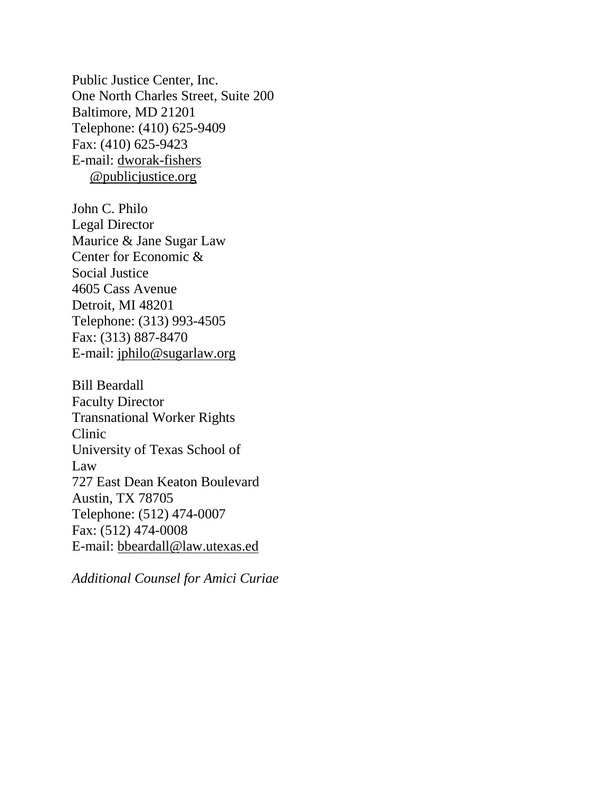Public Justice Center, Inc. One North Charles Street, Suite 200 Baltimore, MD 21201 Telephone: (410) 625-9409 Fax: (410) 625-9423 E-mail: dworak-fishers @publicjustice.org

John C. Philo Legal Director Maurice & Jane Sugar Law Center for Economic & Social Justice 4605 Cass Avenue Detroit, MI 48201 Telephone: (313) 993-4505 Fax: (313) 887-8470 E-mail: jphilo@sugarlaw.org

Bill Beardall Faculty Director Transnational Worker Rights Clinic University of Texas School of Law 727 East Dean Keaton Boulevard Austin, TX 78705 Telephone: (512) 474-0007 Fax: (512) 474-0008 E-mail: bbeardall@law.utexas.ed

*Additional Counsel for Amici Curiae*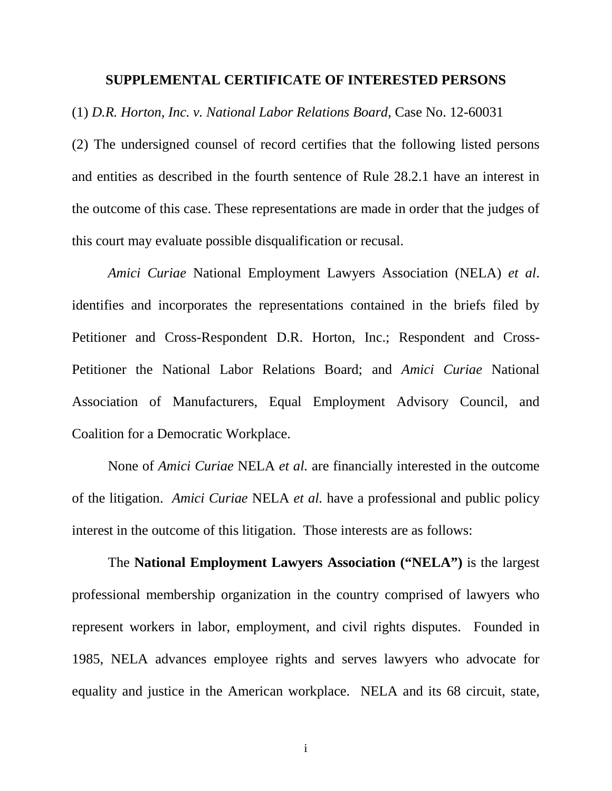#### **SUPPLEMENTAL CERTIFICATE OF INTERESTED PERSONS**

(1) *D.R. Horton, Inc. v. National Labor Relations Board*, Case No. 12-60031

(2) The undersigned counsel of record certifies that the following listed persons and entities as described in the fourth sentence of Rule 28.2.1 have an interest in the outcome of this case. These representations are made in order that the judges of this court may evaluate possible disqualification or recusal.

*Amici Curiae* National Employment Lawyers Association (NELA) *et al*. identifies and incorporates the representations contained in the briefs filed by Petitioner and Cross-Respondent D.R. Horton, Inc.; Respondent and Cross-Petitioner the National Labor Relations Board; and *Amici Curiae* National Association of Manufacturers, Equal Employment Advisory Council, and Coalition for a Democratic Workplace.

None of *Amici Curiae* NELA *et al.* are financially interested in the outcome of the litigation. *Amici Curiae* NELA *et al.* have a professional and public policy interest in the outcome of this litigation. Those interests are as follows:

The **National Employment Lawyers Association ("NELA")** is the largest professional membership organization in the country comprised of lawyers who represent workers in labor, employment, and civil rights disputes. Founded in 1985, NELA advances employee rights and serves lawyers who advocate for equality and justice in the American workplace. NELA and its 68 circuit, state,

i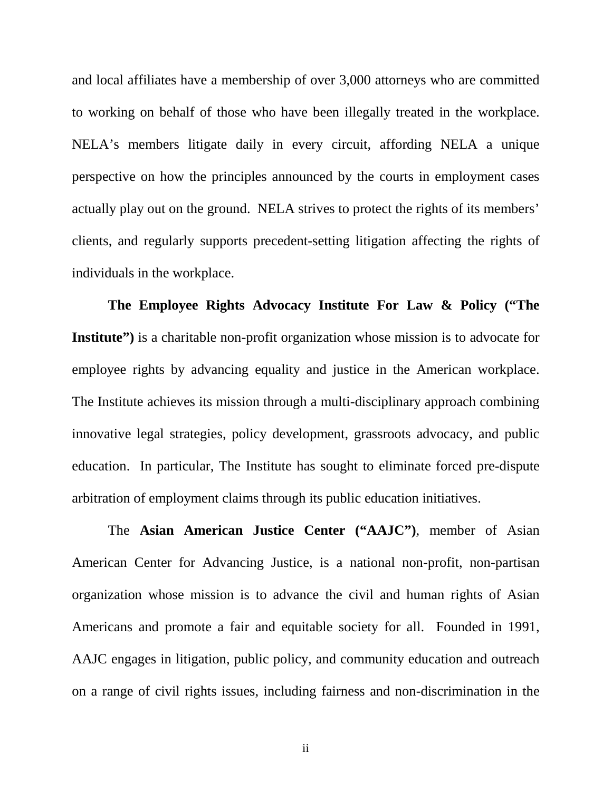and local affiliates have a membership of over 3,000 attorneys who are committed to working on behalf of those who have been illegally treated in the workplace. NELA's members litigate daily in every circuit, affording NELA a unique perspective on how the principles announced by the courts in employment cases actually play out on the ground. NELA strives to protect the rights of its members' clients, and regularly supports precedent-setting litigation affecting the rights of individuals in the workplace.

**The Employee Rights Advocacy Institute For Law & Policy ("The**  Institute") is a charitable non-profit organization whose mission is to advocate for employee rights by advancing equality and justice in the American workplace. The Institute achieves its mission through a multi-disciplinary approach combining innovative legal strategies, policy development, grassroots advocacy, and public education. In particular, The Institute has sought to eliminate forced pre-dispute arbitration of employment claims through its public education initiatives.

The **Asian American Justice Center ("AAJC")**, member of Asian American Center for Advancing Justice, is a national non-profit, non-partisan organization whose mission is to advance the civil and human rights of Asian Americans and promote a fair and equitable society for all. Founded in 1991, AAJC engages in litigation, public policy, and community education and outreach on a range of civil rights issues, including fairness and non-discrimination in the

ii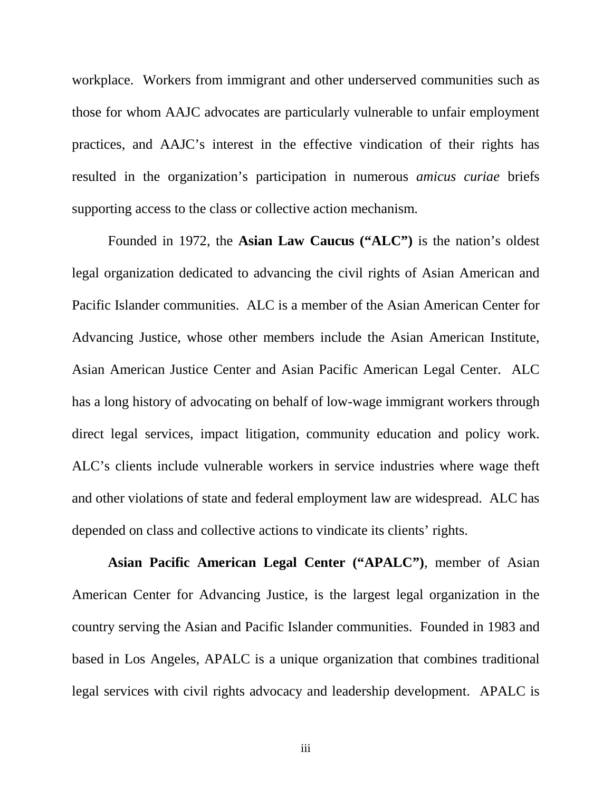workplace. Workers from immigrant and other underserved communities such as those for whom AAJC advocates are particularly vulnerable to unfair employment practices, and AAJC's interest in the effective vindication of their rights has resulted in the organization's participation in numerous *amicus curiae* briefs supporting access to the class or collective action mechanism.

Founded in 1972, the **Asian Law Caucus ("ALC")** is the nation's oldest legal organization dedicated to advancing the civil rights of Asian American and Pacific Islander communities. ALC is a member of the Asian American Center for Advancing Justice, whose other members include the Asian American Institute, Asian American Justice Center and Asian Pacific American Legal Center. ALC has a long history of advocating on behalf of low-wage immigrant workers through direct legal services, impact litigation, community education and policy work. ALC's clients include vulnerable workers in service industries where wage theft and other violations of state and federal employment law are widespread. ALC has depended on class and collective actions to vindicate its clients' rights.

**Asian Pacific American Legal Center ("APALC")**, member of Asian American Center for Advancing Justice, is the largest legal organization in the country serving the Asian and Pacific Islander communities. Founded in 1983 and based in Los Angeles, APALC is a unique organization that combines traditional legal services with civil rights advocacy and leadership development. APALC is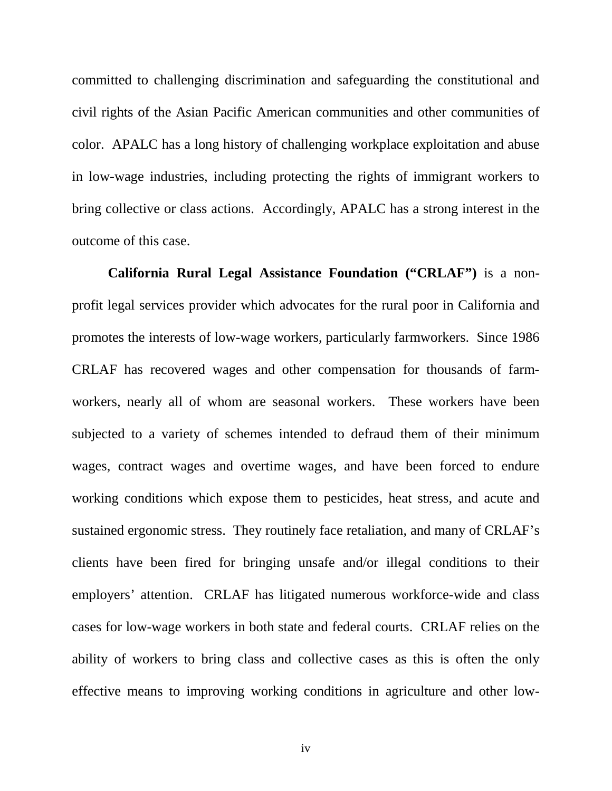committed to challenging discrimination and safeguarding the constitutional and civil rights of the Asian Pacific American communities and other communities of color. APALC has a long history of challenging workplace exploitation and abuse in low-wage industries, including protecting the rights of immigrant workers to bring collective or class actions. Accordingly, APALC has a strong interest in the outcome of this case.

**California Rural Legal Assistance Foundation ("CRLAF")** is a nonprofit legal services provider which advocates for the rural poor in California and promotes the interests of low-wage workers, particularly farmworkers. Since 1986 CRLAF has recovered wages and other compensation for thousands of farmworkers, nearly all of whom are seasonal workers. These workers have been subjected to a variety of schemes intended to defraud them of their minimum wages, contract wages and overtime wages, and have been forced to endure working conditions which expose them to pesticides, heat stress, and acute and sustained ergonomic stress. They routinely face retaliation, and many of CRLAF's clients have been fired for bringing unsafe and/or illegal conditions to their employers' attention. CRLAF has litigated numerous workforce-wide and class cases for low-wage workers in both state and federal courts. CRLAF relies on the ability of workers to bring class and collective cases as this is often the only effective means to improving working conditions in agriculture and other low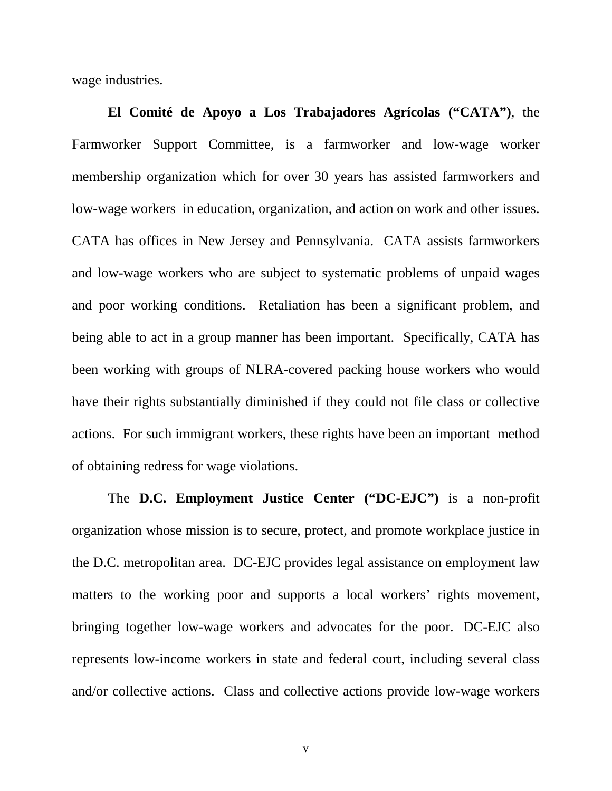wage industries.

**El Comité de Apoyo a Los Trabajadores Agrícolas ("CATA")**, the Farmworker Support Committee, is a farmworker and low-wage worker membership organization which for over 30 years has assisted farmworkers and low-wage workers in education, organization, and action on work and other issues. CATA has offices in New Jersey and Pennsylvania. CATA assists farmworkers and low-wage workers who are subject to systematic problems of unpaid wages and poor working conditions. Retaliation has been a significant problem, and being able to act in a group manner has been important. Specifically, CATA has been working with groups of NLRA-covered packing house workers who would have their rights substantially diminished if they could not file class or collective actions. For such immigrant workers, these rights have been an important method of obtaining redress for wage violations.

The **D.C. Employment Justice Center ("DC-EJC")** is a non-profit organization whose mission is to secure, protect, and promote workplace justice in the D.C. metropolitan area. DC-EJC provides legal assistance on employment law matters to the working poor and supports a local workers' rights movement, bringing together low-wage workers and advocates for the poor. DC-EJC also represents low-income workers in state and federal court, including several class and/or collective actions. Class and collective actions provide low-wage workers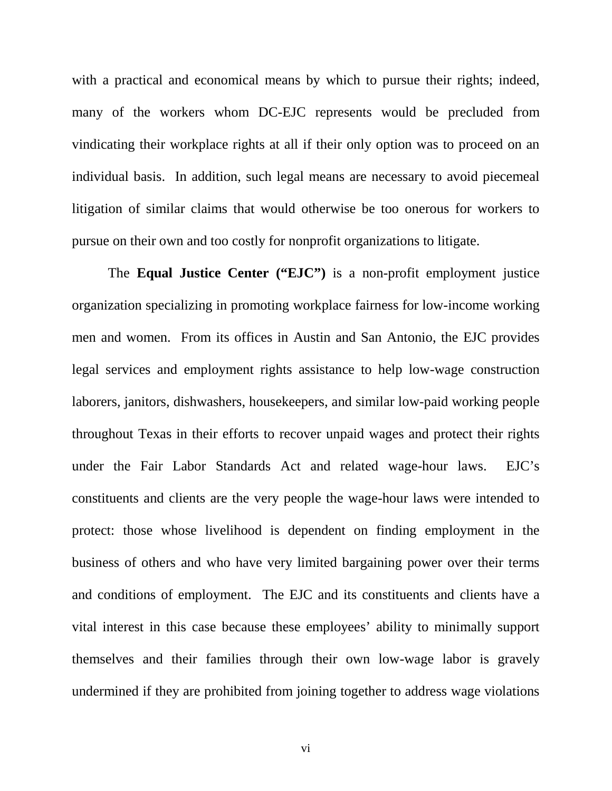with a practical and economical means by which to pursue their rights; indeed, many of the workers whom DC-EJC represents would be precluded from vindicating their workplace rights at all if their only option was to proceed on an individual basis. In addition, such legal means are necessary to avoid piecemeal litigation of similar claims that would otherwise be too onerous for workers to pursue on their own and too costly for nonprofit organizations to litigate.

The **Equal Justice Center ("EJC")** is a non-profit employment justice organization specializing in promoting workplace fairness for low-income working men and women. From its offices in Austin and San Antonio, the EJC provides legal services and employment rights assistance to help low-wage construction laborers, janitors, dishwashers, housekeepers, and similar low-paid working people throughout Texas in their efforts to recover unpaid wages and protect their rights under the Fair Labor Standards Act and related wage-hour laws. EJC's constituents and clients are the very people the wage-hour laws were intended to protect: those whose livelihood is dependent on finding employment in the business of others and who have very limited bargaining power over their terms and conditions of employment. The EJC and its constituents and clients have a vital interest in this case because these employees' ability to minimally support themselves and their families through their own low-wage labor is gravely undermined if they are prohibited from joining together to address wage violations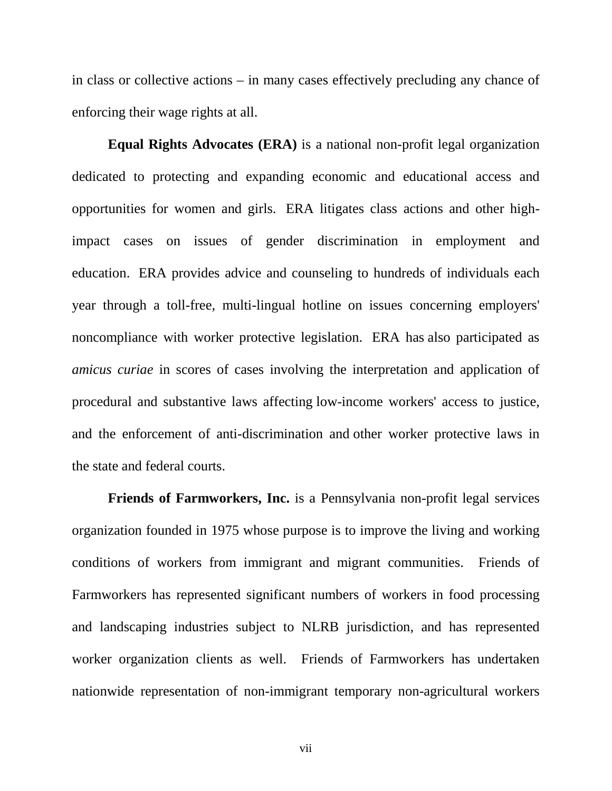in class or collective actions – in many cases effectively precluding any chance of enforcing their wage rights at all.

**Equal Rights Advocates (ERA)** is a national non-profit legal organization dedicated to protecting and expanding economic and educational access and opportunities for women and girls. ERA litigates class actions and other highimpact cases on issues of gender discrimination in employment and education. ERA provides advice and counseling to hundreds of individuals each year through a toll-free, multi-lingual hotline on issues concerning employers' noncompliance with worker protective legislation. ERA has also participated as *amicus curiae* in scores of cases involving the interpretation and application of procedural and substantive laws affecting low-income workers' access to justice, and the enforcement of anti-discrimination and other worker protective laws in the state and federal courts.

**Friends of Farmworkers, Inc.** is a Pennsylvania non-profit legal services organization founded in 1975 whose purpose is to improve the living and working conditions of workers from immigrant and migrant communities. Friends of Farmworkers has represented significant numbers of workers in food processing and landscaping industries subject to NLRB jurisdiction, and has represented worker organization clients as well. Friends of Farmworkers has undertaken nationwide representation of non-immigrant temporary non-agricultural workers

vii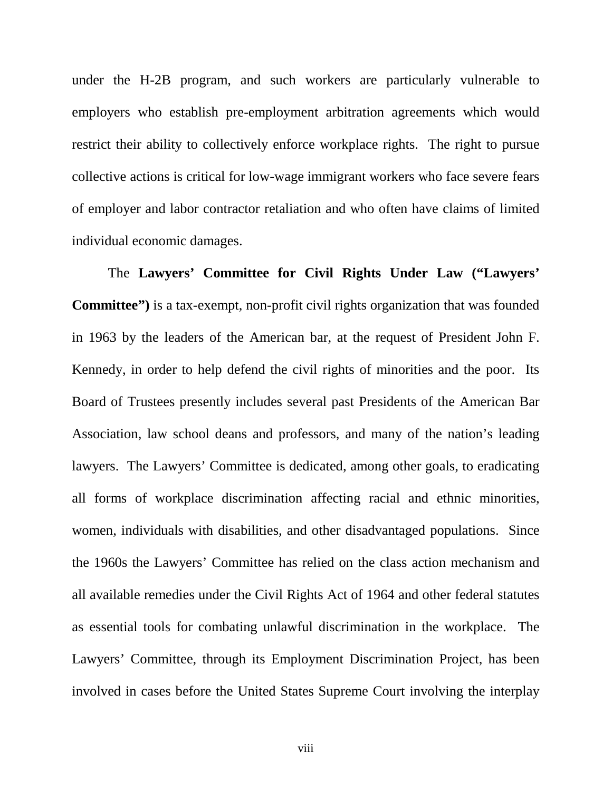under the H-2B program, and such workers are particularly vulnerable to employers who establish pre-employment arbitration agreements which would restrict their ability to collectively enforce workplace rights. The right to pursue collective actions is critical for low-wage immigrant workers who face severe fears of employer and labor contractor retaliation and who often have claims of limited individual economic damages.

The **Lawyers' Committee for Civil Rights Under Law ("Lawyers' Committee")** is a tax-exempt, non-profit civil rights organization that was founded in 1963 by the leaders of the American bar, at the request of President John F. Kennedy, in order to help defend the civil rights of minorities and the poor. Its Board of Trustees presently includes several past Presidents of the American Bar Association, law school deans and professors, and many of the nation's leading lawyers. The Lawyers' Committee is dedicated, among other goals, to eradicating all forms of workplace discrimination affecting racial and ethnic minorities, women, individuals with disabilities, and other disadvantaged populations. Since the 1960s the Lawyers' Committee has relied on the class action mechanism and all available remedies under the Civil Rights Act of 1964 and other federal statutes as essential tools for combating unlawful discrimination in the workplace. The Lawyers' Committee, through its Employment Discrimination Project, has been involved in cases before the United States Supreme Court involving the interplay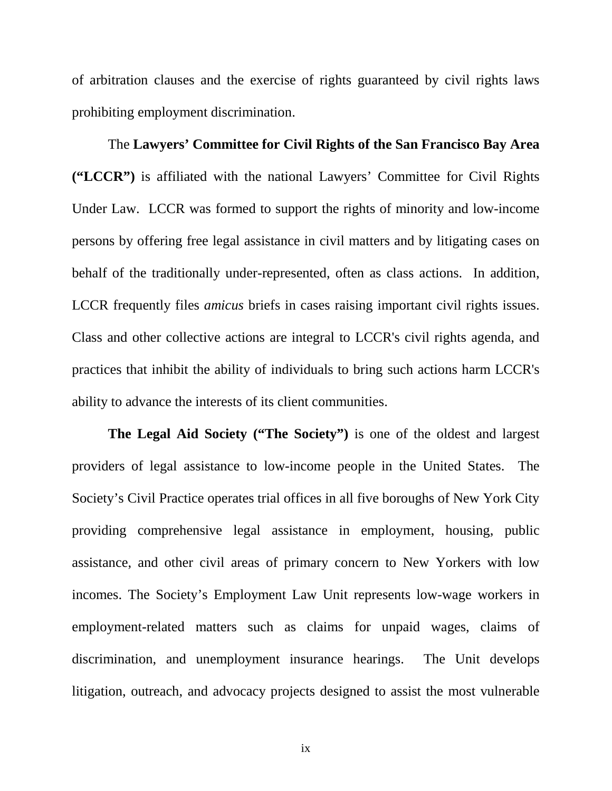of arbitration clauses and the exercise of rights guaranteed by civil rights laws prohibiting employment discrimination.

The **Lawyers' Committee for Civil Rights of the San Francisco Bay Area ("LCCR")** is affiliated with the national Lawyers' Committee for Civil Rights Under Law. LCCR was formed to support the rights of minority and low-income persons by offering free legal assistance in civil matters and by litigating cases on behalf of the traditionally under-represented, often as class actions. In addition, LCCR frequently files *amicus* briefs in cases raising important civil rights issues. Class and other collective actions are integral to LCCR's civil rights agenda, and practices that inhibit the ability of individuals to bring such actions harm LCCR's ability to advance the interests of its client communities.

**The Legal Aid Society ("The Society")** is one of the oldest and largest providers of legal assistance to low-income people in the United States. The Society's Civil Practice operates trial offices in all five boroughs of New York City providing comprehensive legal assistance in employment, housing, public assistance, and other civil areas of primary concern to New Yorkers with low incomes. The Society's Employment Law Unit represents low-wage workers in employment-related matters such as claims for unpaid wages, claims of discrimination, and unemployment insurance hearings. The Unit develops litigation, outreach, and advocacy projects designed to assist the most vulnerable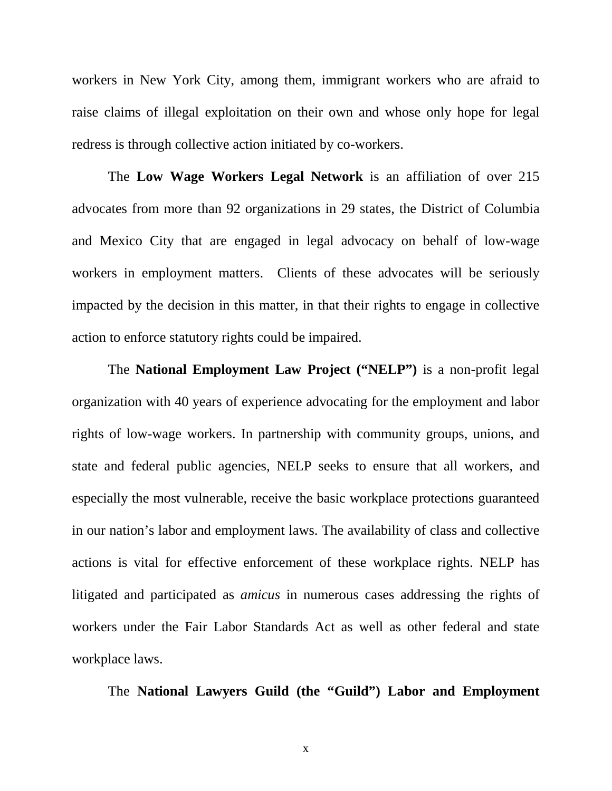workers in New York City, among them, immigrant workers who are afraid to raise claims of illegal exploitation on their own and whose only hope for legal redress is through collective action initiated by co-workers.

The **Low Wage Workers Legal Network** is an affiliation of over 215 advocates from more than 92 organizations in 29 states, the District of Columbia and Mexico City that are engaged in legal advocacy on behalf of low-wage workers in employment matters. Clients of these advocates will be seriously impacted by the decision in this matter, in that their rights to engage in collective action to enforce statutory rights could be impaired.

The **National Employment Law Project ("NELP")** is a non-profit legal organization with 40 years of experience advocating for the employment and labor rights of low-wage workers. In partnership with community groups, unions, and state and federal public agencies, NELP seeks to ensure that all workers, and especially the most vulnerable, receive the basic workplace protections guaranteed in our nation's labor and employment laws. The availability of class and collective actions is vital for effective enforcement of these workplace rights. NELP has litigated and participated as *amicus* in numerous cases addressing the rights of workers under the Fair Labor Standards Act as well as other federal and state workplace laws.

The **National Lawyers Guild (the "Guild") Labor and Employment**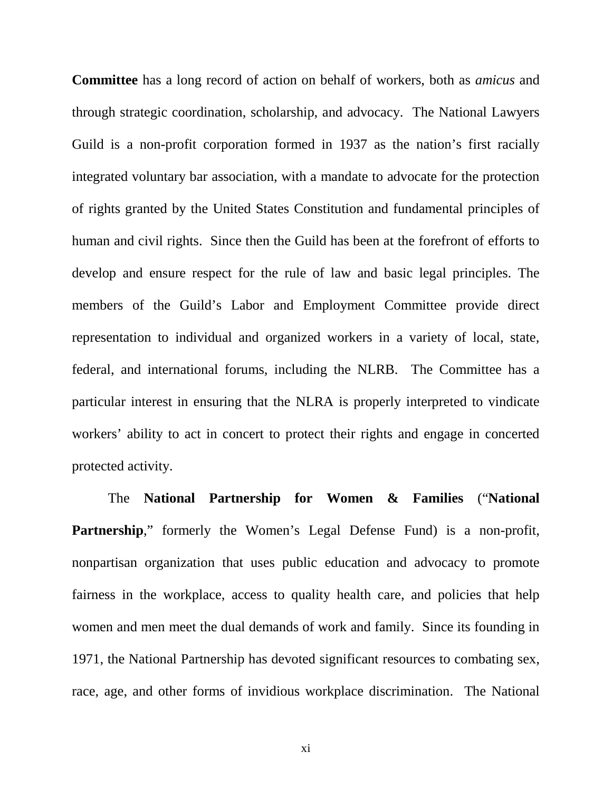**Committee** has a long record of action on behalf of workers, both as *amicus* and through strategic coordination, scholarship, and advocacy. The National Lawyers Guild is a non-profit corporation formed in 1937 as the nation's first racially integrated voluntary bar association, with a mandate to advocate for the protection of rights granted by the United States Constitution and fundamental principles of human and civil rights. Since then the Guild has been at the forefront of efforts to develop and ensure respect for the rule of law and basic legal principles. The members of the Guild's Labor and Employment Committee provide direct representation to individual and organized workers in a variety of local, state, federal, and international forums, including the NLRB. The Committee has a particular interest in ensuring that the NLRA is properly interpreted to vindicate workers' ability to act in concert to protect their rights and engage in concerted protected activity.

The **National Partnership for Women & Families** ("**National Partnership**," formerly the Women's Legal Defense Fund) is a non-profit, nonpartisan organization that uses public education and advocacy to promote fairness in the workplace, access to quality health care, and policies that help women and men meet the dual demands of work and family. Since its founding in 1971, the National Partnership has devoted significant resources to combating sex, race, age, and other forms of invidious workplace discrimination. The National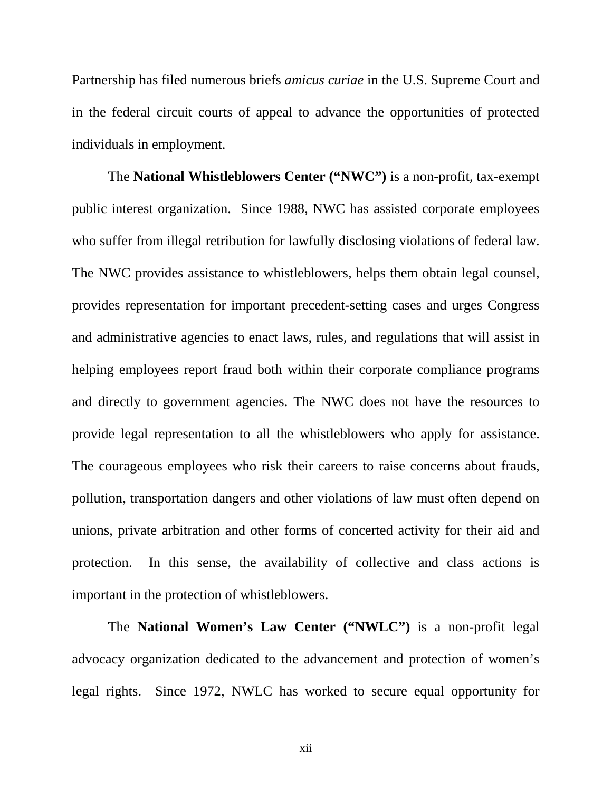Partnership has filed numerous briefs *amicus curiae* in the U.S. Supreme Court and in the federal circuit courts of appeal to advance the opportunities of protected individuals in employment.

The **National Whistleblowers Center ("NWC")** is a non-profit, tax-exempt public interest organization. Since 1988, NWC has assisted corporate employees who suffer from illegal retribution for lawfully disclosing violations of federal law. The NWC provides assistance to whistleblowers, helps them obtain legal counsel, provides representation for important precedent-setting cases and urges Congress and administrative agencies to enact laws, rules, and regulations that will assist in helping employees report fraud both within their corporate compliance programs and directly to government agencies. The NWC does not have the resources to provide legal representation to all the whistleblowers who apply for assistance. The courageous employees who risk their careers to raise concerns about frauds, pollution, transportation dangers and other violations of law must often depend on unions, private arbitration and other forms of concerted activity for their aid and protection. In this sense, the availability of collective and class actions is important in the protection of whistleblowers.

The **National Women's Law Center ("NWLC")** is a non-profit legal advocacy organization dedicated to the advancement and protection of women's legal rights. Since 1972, NWLC has worked to secure equal opportunity for

xii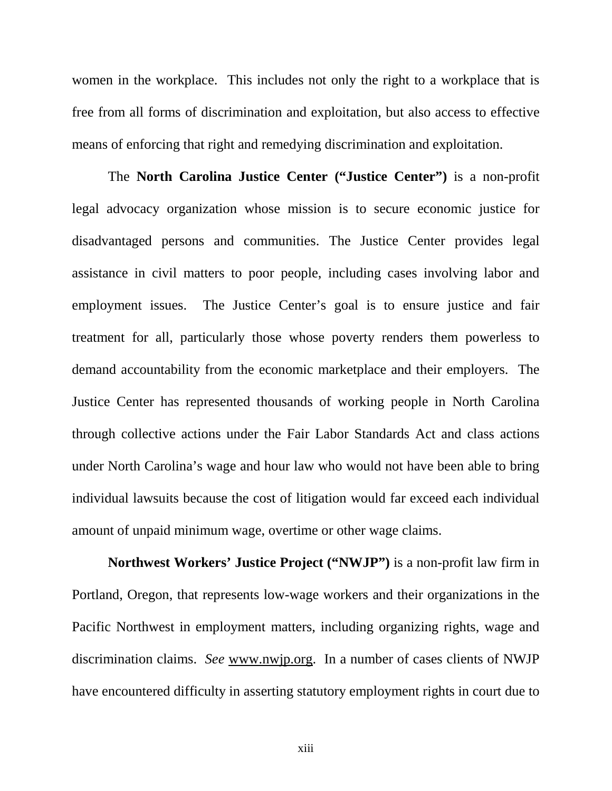women in the workplace. This includes not only the right to a workplace that is free from all forms of discrimination and exploitation, but also access to effective means of enforcing that right and remedying discrimination and exploitation.

The **North Carolina Justice Center ("Justice Center")** is a non-profit legal advocacy organization whose mission is to secure economic justice for disadvantaged persons and communities. The Justice Center provides legal assistance in civil matters to poor people, including cases involving labor and employment issues. The Justice Center's goal is to ensure justice and fair treatment for all, particularly those whose poverty renders them powerless to demand accountability from the economic marketplace and their employers. The Justice Center has represented thousands of working people in North Carolina through collective actions under the Fair Labor Standards Act and class actions under North Carolina's wage and hour law who would not have been able to bring individual lawsuits because the cost of litigation would far exceed each individual amount of unpaid minimum wage, overtime or other wage claims.

**Northwest Workers' Justice Project ("NWJP")** is a non-profit law firm in Portland, Oregon, that represents low-wage workers and their organizations in the Pacific Northwest in employment matters, including organizing rights, wage and discrimination claims. *See* www.nwjp.org. In a number of cases clients of NWJP have encountered difficulty in asserting statutory employment rights in court due to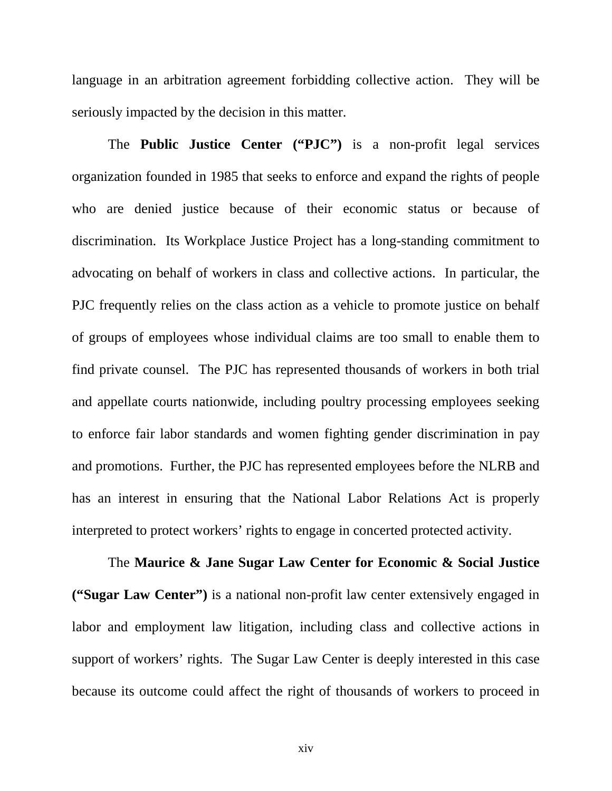language in an arbitration agreement forbidding collective action. They will be seriously impacted by the decision in this matter.

The **Public Justice Center ("PJC")** is a non-profit legal services organization founded in 1985 that seeks to enforce and expand the rights of people who are denied justice because of their economic status or because of discrimination. Its Workplace Justice Project has a long-standing commitment to advocating on behalf of workers in class and collective actions. In particular, the PJC frequently relies on the class action as a vehicle to promote justice on behalf of groups of employees whose individual claims are too small to enable them to find private counsel. The PJC has represented thousands of workers in both trial and appellate courts nationwide, including poultry processing employees seeking to enforce fair labor standards and women fighting gender discrimination in pay and promotions. Further, the PJC has represented employees before the NLRB and has an interest in ensuring that the National Labor Relations Act is properly interpreted to protect workers' rights to engage in concerted protected activity.

The **Maurice & Jane Sugar Law Center for Economic & Social Justice ("Sugar Law Center")** is a national non-profit law center extensively engaged in labor and employment law litigation, including class and collective actions in support of workers' rights. The Sugar Law Center is deeply interested in this case because its outcome could affect the right of thousands of workers to proceed in

xiv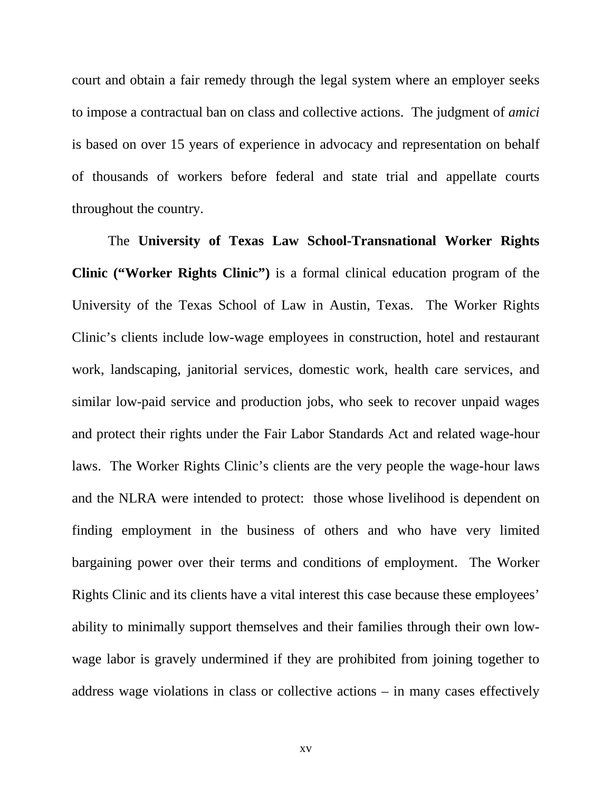court and obtain a fair remedy through the legal system where an employer seeks to impose a contractual ban on class and collective actions. The judgment of *amici* is based on over 15 years of experience in advocacy and representation on behalf of thousands of workers before federal and state trial and appellate courts throughout the country.

The **University of Texas Law School-Transnational Worker Rights Clinic ("Worker Rights Clinic")** is a formal clinical education program of the University of the Texas School of Law in Austin, Texas. The Worker Rights Clinic's clients include low-wage employees in construction, hotel and restaurant work, landscaping, janitorial services, domestic work, health care services, and similar low-paid service and production jobs, who seek to recover unpaid wages and protect their rights under the Fair Labor Standards Act and related wage-hour laws. The Worker Rights Clinic's clients are the very people the wage-hour laws and the NLRA were intended to protect: those whose livelihood is dependent on finding employment in the business of others and who have very limited bargaining power over their terms and conditions of employment. The Worker Rights Clinic and its clients have a vital interest this case because these employees' ability to minimally support themselves and their families through their own lowwage labor is gravely undermined if they are prohibited from joining together to address wage violations in class or collective actions – in many cases effectively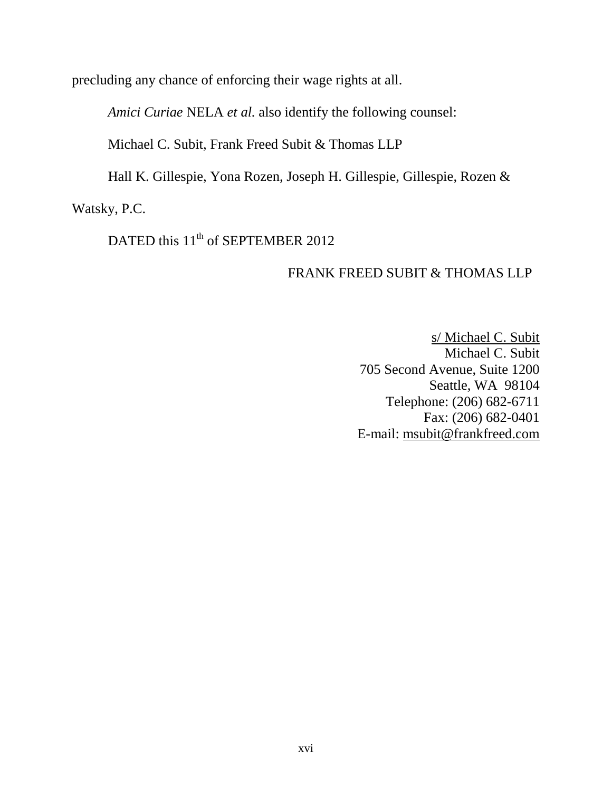precluding any chance of enforcing their wage rights at all.

*Amici Curiae* NELA *et al.* also identify the following counsel:

Michael C. Subit, Frank Freed Subit & Thomas LLP

Hall K. Gillespie, Yona Rozen, Joseph H. Gillespie, Gillespie, Rozen &

Watsky, P.C.

DATED this 11<sup>th</sup> of SEPTEMBER 2012

# FRANK FREED SUBIT & THOMAS LLP

s/ Michael C. Subit Michael C. Subit 705 Second Avenue, Suite 1200 Seattle, WA 98104 Telephone: (206) 682-6711 Fax: (206) 682-0401 E-mail: msubit@frankfreed.com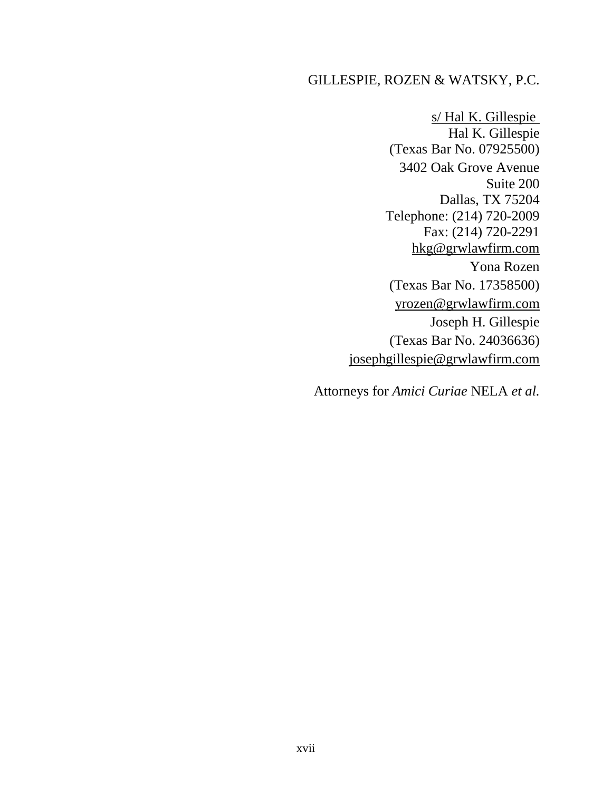# GILLESPIE, ROZEN & WATSKY, P.C.

s/ Hal K. Gillespie Hal K. Gillespie (Texas Bar No. 07925500) 3402 Oak Grove Avenue Suite 200 Dallas, TX 75204 Telephone: (214) 720-2009 Fax: (214) 720-2291 hkg@grwlawfirm.com Yona Rozen (Texas Bar No. 17358500) yrozen@grwlawfirm.com Joseph H. Gillespie (Texas Bar No. 24036636) josephgillespie@grwlawfirm.com

Attorneys for *Amici Curiae* NELA *et al.*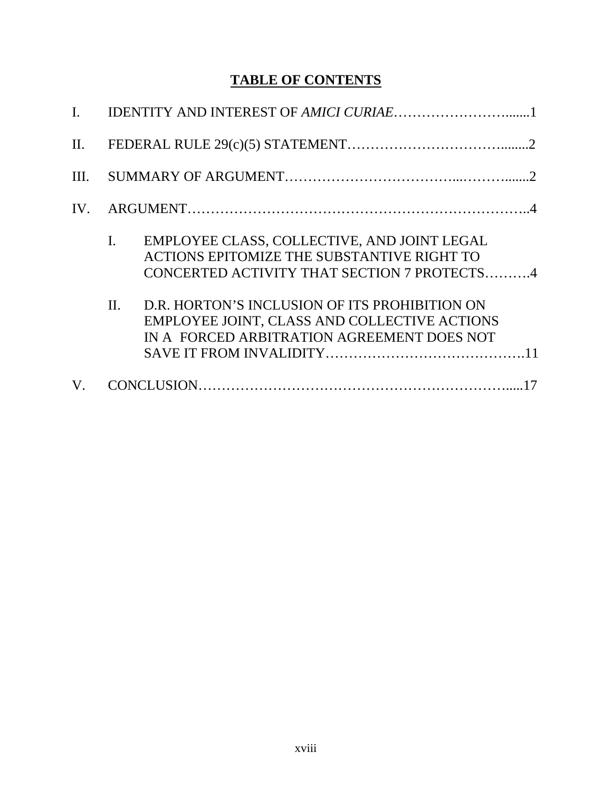# **TABLE OF CONTENTS**

| II.  |                                                                                                                                                            |
|------|------------------------------------------------------------------------------------------------------------------------------------------------------------|
| III. |                                                                                                                                                            |
| IV.  |                                                                                                                                                            |
|      | EMPLOYEE CLASS, COLLECTIVE, AND JOINT LEGAL<br>$\mathbf{I}$ .<br>ACTIONS EPITOMIZE THE SUBSTANTIVE RIGHT TO<br>CONCERTED ACTIVITY THAT SECTION 7 PROTECTS4 |
|      | D.R. HORTON'S INCLUSION OF ITS PROHIBITION ON<br>$\Pi$ .<br>EMPLOYEE JOINT, CLASS AND COLLECTIVE ACTIONS<br>IN A FORCED ARBITRATION AGREEMENT DOES NOT     |
| V.   |                                                                                                                                                            |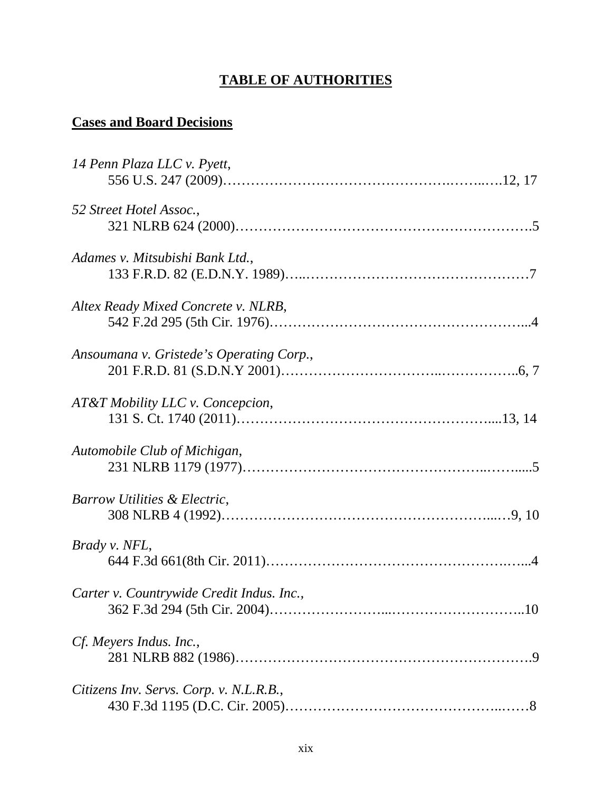# **TABLE OF AUTHORITIES**

# **Cases and Board Decisions**

| 14 Penn Plaza LLC v. Pyett,               |  |
|-------------------------------------------|--|
|                                           |  |
| 52 Street Hotel Assoc.,                   |  |
|                                           |  |
| Adames v. Mitsubishi Bank Ltd.,           |  |
|                                           |  |
| Altex Ready Mixed Concrete v. NLRB,       |  |
|                                           |  |
| Ansoumana v. Gristede's Operating Corp.,  |  |
|                                           |  |
| AT&T Mobility LLC v. Concepcion,          |  |
|                                           |  |
| Automobile Club of Michigan,              |  |
|                                           |  |
| Barrow Utilities & Electric,              |  |
|                                           |  |
| Brady v. NFL,                             |  |
|                                           |  |
| Carter v. Countrywide Credit Indus. Inc., |  |
|                                           |  |
| Cf. Meyers Indus. Inc.,                   |  |
|                                           |  |
| Citizens Inv. Servs. Corp. v. N.L.R.B.,   |  |
|                                           |  |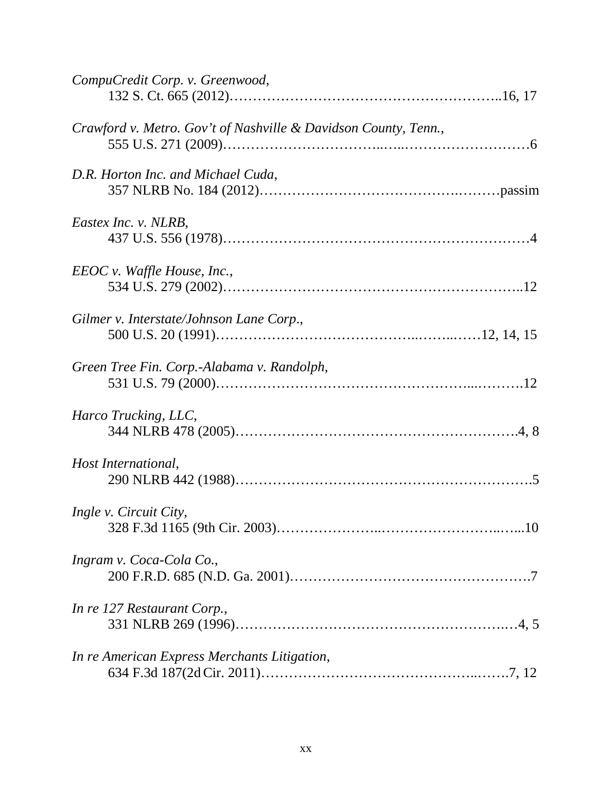| CompuCredit Corp. v. Greenwood,                                 |
|-----------------------------------------------------------------|
| Crawford v. Metro. Gov't of Nashville & Davidson County, Tenn., |
| D.R. Horton Inc. and Michael Cuda,                              |
| Eastex Inc. v. NLRB,                                            |
| $EEOC v.$ Waffle House, Inc.,                                   |
| Gilmer v. Interstate/Johnson Lane Corp.,                        |
| Green Tree Fin. Corp.-Alabama v. Randolph,                      |
| Harco Trucking, LLC,                                            |
| Host International,                                             |
| Ingle v. Circuit City,                                          |
| Ingram v. Coca-Cola Co.,                                        |
| In re 127 Restaurant Corp.,                                     |
| In re American Express Merchants Litigation,                    |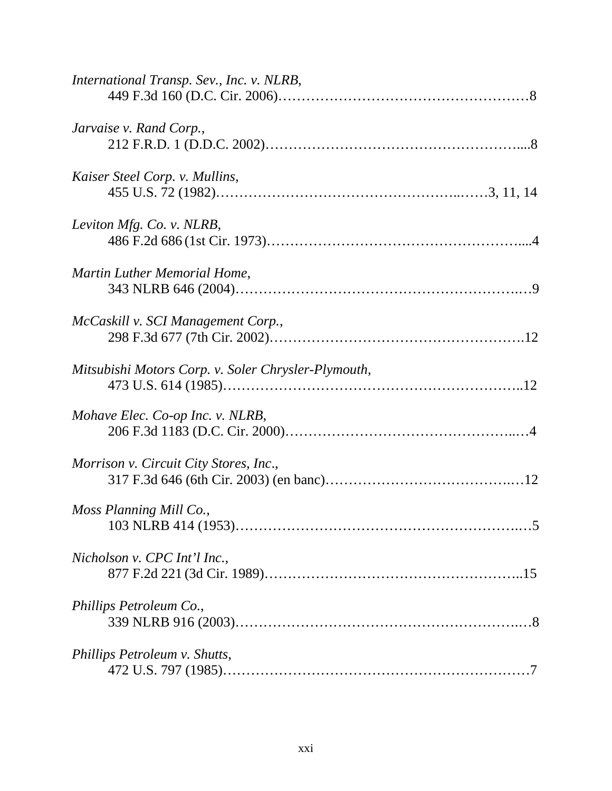| International Transp. Sev., Inc. v. NLRB,           |
|-----------------------------------------------------|
| Jarvaise v. Rand Corp.,                             |
| Kaiser Steel Corp. v. Mullins,                      |
| Leviton Mfg. Co. v. NLRB,                           |
| Martin Luther Memorial Home,                        |
| McCaskill v. SCI Management Corp.,                  |
| Mitsubishi Motors Corp. v. Soler Chrysler-Plymouth, |
| Mohave Elec. Co-op Inc. v. NLRB,                    |
| Morrison v. Circuit City Stores, Inc.,              |
| Moss Planning Mill Co.,                             |
| Nicholson v. CPC Int'l Inc.,                        |
| Phillips Petroleum Co.,                             |
| Phillips Petroleum v. Shutts,                       |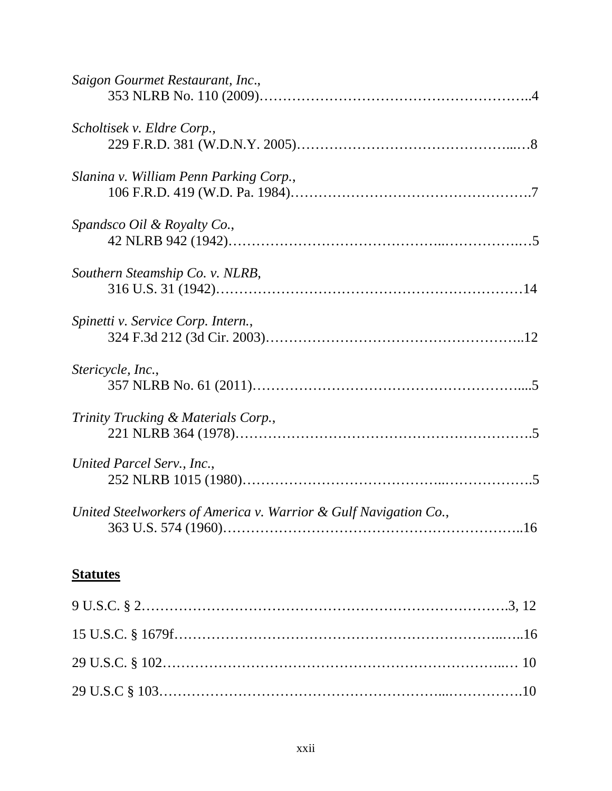| Saigon Gourmet Restaurant, Inc.,                                 |  |
|------------------------------------------------------------------|--|
| Scholtisek v. Eldre Corp.,                                       |  |
| Slanina v. William Penn Parking Corp.,                           |  |
| Spandsco Oil & Royalty Co.,                                      |  |
| Southern Steamship Co. v. NLRB,                                  |  |
| Spinetti v. Service Corp. Intern.,                               |  |
| Stericycle, Inc.,                                                |  |
| Trinity Trucking & Materials Corp.,                              |  |
| United Parcel Serv., Inc.,                                       |  |
| United Steelworkers of America v. Warrior & Gulf Navigation Co., |  |

# **Statutes**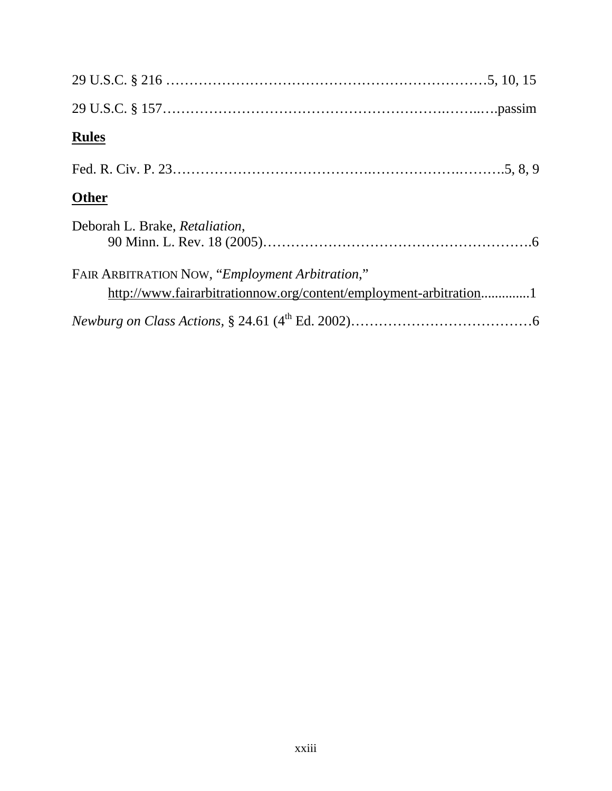| <b>Rules</b>                                                                                                         |
|----------------------------------------------------------------------------------------------------------------------|
|                                                                                                                      |
| <b>Other</b>                                                                                                         |
| Deborah L. Brake, Retaliation,                                                                                       |
| FAIR ARBITRATION NOW, "Employment Arbitration,"<br>http://www.fairarbitrationnow.org/content/employment-arbitration1 |
|                                                                                                                      |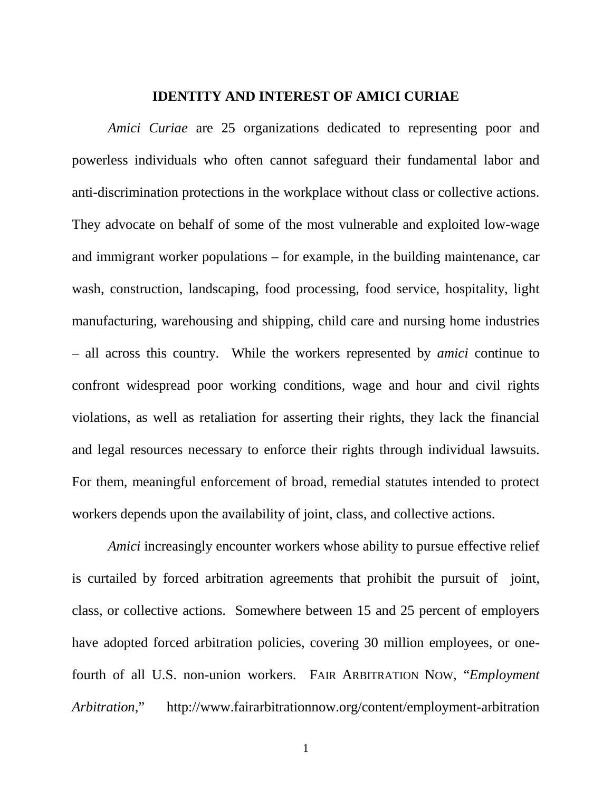#### **IDENTITY AND INTEREST OF AMICI CURIAE**

*Amici Curiae* are 25 organizations dedicated to representing poor and powerless individuals who often cannot safeguard their fundamental labor and anti-discrimination protections in the workplace without class or collective actions. They advocate on behalf of some of the most vulnerable and exploited low-wage and immigrant worker populations – for example, in the building maintenance, car wash, construction, landscaping, food processing, food service, hospitality, light manufacturing, warehousing and shipping, child care and nursing home industries – all across this country. While the workers represented by *amici* continue to confront widespread poor working conditions, wage and hour and civil rights violations, as well as retaliation for asserting their rights, they lack the financial and legal resources necessary to enforce their rights through individual lawsuits. For them, meaningful enforcement of broad, remedial statutes intended to protect workers depends upon the availability of joint, class, and collective actions.

*Amici* increasingly encounter workers whose ability to pursue effective relief is curtailed by forced arbitration agreements that prohibit the pursuit of joint, class, or collective actions. Somewhere between 15 and 25 percent of employers have adopted forced arbitration policies, covering 30 million employees, or onefourth of all U.S. non-union workers. FAIR ARBITRATION NOW, "*Employment Arbitration*," http://www.fairarbitrationnow.org/content/employment-arbitration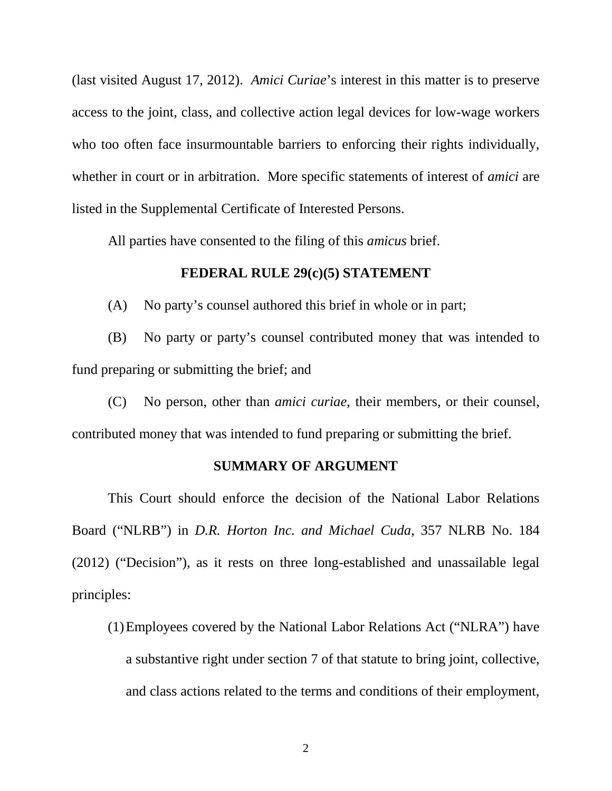(last visited August 17, 2012). *Amici Curiae*'s interest in this matter is to preserve access to the joint, class, and collective action legal devices for low-wage workers who too often face insurmountable barriers to enforcing their rights individually, whether in court or in arbitration. More specific statements of interest of *amici* are listed in the Supplemental Certificate of Interested Persons.

All parties have consented to the filing of this *amicus* brief.

## **FEDERAL RULE 29(c)(5) STATEMENT**

(A) No party's counsel authored this brief in whole or in part;

(B) No party or party's counsel contributed money that was intended to fund preparing or submitting the brief; and

(C) No person, other than *amici curiae*, their members, or their counsel, contributed money that was intended to fund preparing or submitting the brief.

### **SUMMARY OF ARGUMENT**

This Court should enforce the decision of the National Labor Relations Board ("NLRB") in *D.R. Horton Inc. and Michael Cuda*, 357 NLRB No. 184 (2012) ("Decision"), as it rests on three long-established and unassailable legal principles:

(1)Employees covered by the National Labor Relations Act ("NLRA") have a substantive right under section 7 of that statute to bring joint, collective, and class actions related to the terms and conditions of their employment,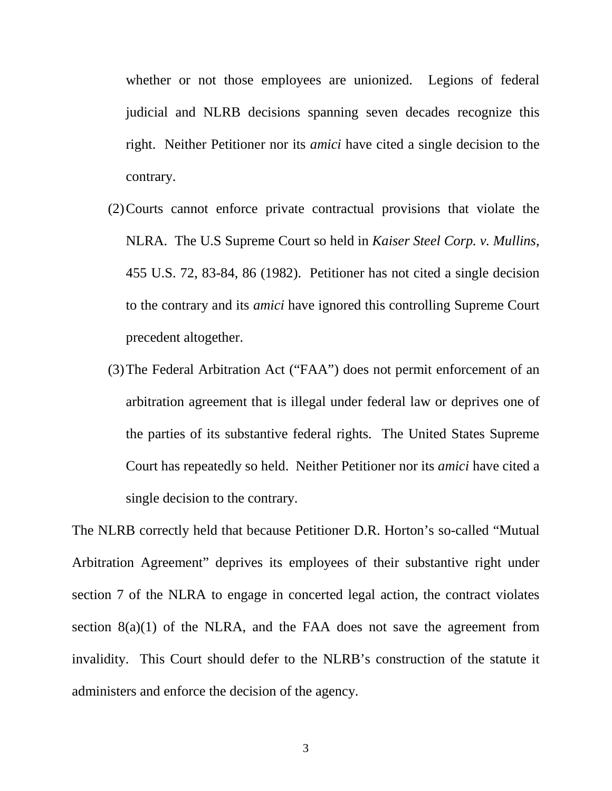whether or not those employees are unionized. Legions of federal judicial and NLRB decisions spanning seven decades recognize this right. Neither Petitioner nor its *amici* have cited a single decision to the contrary.

- (2)Courts cannot enforce private contractual provisions that violate the NLRA. The U.S Supreme Court so held in *Kaiser Steel Corp. v. Mullins*, 455 U.S. 72, 83-84, 86 (1982). Petitioner has not cited a single decision to the contrary and its *amici* have ignored this controlling Supreme Court precedent altogether.
- (3)The Federal Arbitration Act ("FAA") does not permit enforcement of an arbitration agreement that is illegal under federal law or deprives one of the parties of its substantive federal rights. The United States Supreme Court has repeatedly so held. Neither Petitioner nor its *amici* have cited a single decision to the contrary.

The NLRB correctly held that because Petitioner D.R. Horton's so-called "Mutual Arbitration Agreement" deprives its employees of their substantive right under section 7 of the NLRA to engage in concerted legal action, the contract violates section  $8(a)(1)$  of the NLRA, and the FAA does not save the agreement from invalidity. This Court should defer to the NLRB's construction of the statute it administers and enforce the decision of the agency.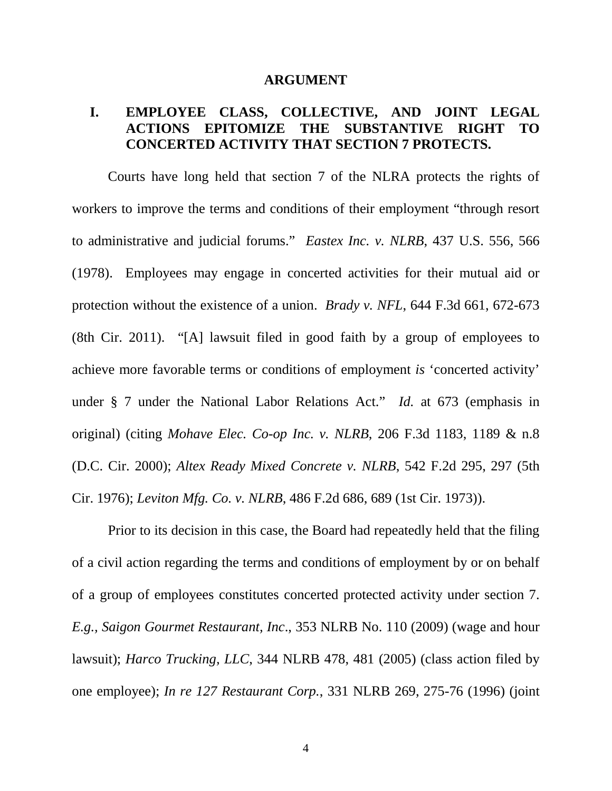#### **ARGUMENT**

# **I. EMPLOYEE CLASS, COLLECTIVE, AND JOINT LEGAL ACTIONS EPITOMIZE THE SUBSTANTIVE RIGHT TO CONCERTED ACTIVITY THAT SECTION 7 PROTECTS.**

Courts have long held that section 7 of the NLRA protects the rights of workers to improve the terms and conditions of their employment "through resort to administrative and judicial forums." *Eastex Inc. v. NLRB*, 437 U.S. 556, 566 (1978). Employees may engage in concerted activities for their mutual aid or protection without the existence of a union. *Brady v. NFL*, 644 F.3d 661, 672-673 (8th Cir. 2011). "[A] lawsuit filed in good faith by a group of employees to achieve more favorable terms or conditions of employment *is* 'concerted activity' under § 7 under the National Labor Relations Act." *Id.* at 673 (emphasis in original) (citing *Mohave Elec. Co-op Inc. v. NLRB*, 206 F.3d 1183, 1189 & n.8 (D.C. Cir. 2000); *Altex Ready Mixed Concrete v. NLRB*, 542 F.2d 295, 297 (5th Cir. 1976); *Leviton Mfg. Co. v. NLRB*, 486 F.2d 686, 689 (1st Cir. 1973)).

Prior to its decision in this case, the Board had repeatedly held that the filing of a civil action regarding the terms and conditions of employment by or on behalf of a group of employees constitutes concerted protected activity under section 7. *E.g., Saigon Gourmet Restaurant, Inc*., 353 NLRB No. 110 (2009) (wage and hour lawsuit); *Harco Trucking, LLC*, 344 NLRB 478, 481 (2005) (class action filed by one employee); *In re 127 Restaurant Corp.*, 331 NLRB 269, 275-76 (1996) (joint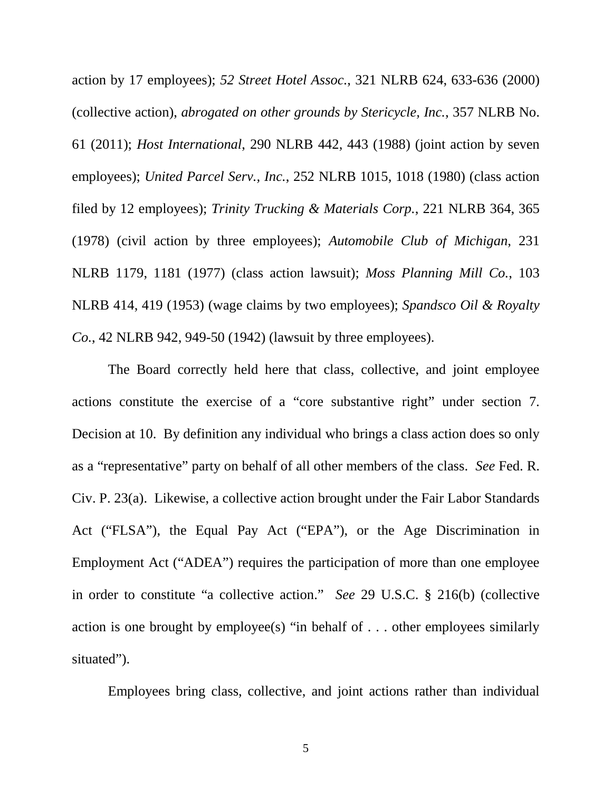action by 17 employees); *52 Street Hotel Assoc.*, 321 NLRB 624, 633-636 (2000) (collective action), *abrogated on other grounds by Stericycle, Inc.*, 357 NLRB No. 61 (2011); *Host International*, 290 NLRB 442, 443 (1988) (joint action by seven employees); *United Parcel Serv., Inc.*, 252 NLRB 1015, 1018 (1980) (class action filed by 12 employees); *Trinity Trucking & Materials Corp.*, 221 NLRB 364, 365 (1978) (civil action by three employees); *Automobile Club of Michigan*, 231 NLRB 1179, 1181 (1977) (class action lawsuit); *Moss Planning Mill Co.*, 103 NLRB 414, 419 (1953) (wage claims by two employees); *Spandsco Oil & Royalty Co.*, 42 NLRB 942, 949-50 (1942) (lawsuit by three employees).

The Board correctly held here that class, collective, and joint employee actions constitute the exercise of a "core substantive right" under section 7. Decision at 10. By definition any individual who brings a class action does so only as a "representative" party on behalf of all other members of the class. *See* Fed. R. Civ. P. 23(a). Likewise, a collective action brought under the Fair Labor Standards Act ("FLSA"), the Equal Pay Act ("EPA"), or the Age Discrimination in Employment Act ("ADEA") requires the participation of more than one employee in order to constitute "a collective action." *See* 29 U.S.C. § 216(b) (collective action is one brought by employee(s) "in behalf of . . . other employees similarly situated").

Employees bring class, collective, and joint actions rather than individual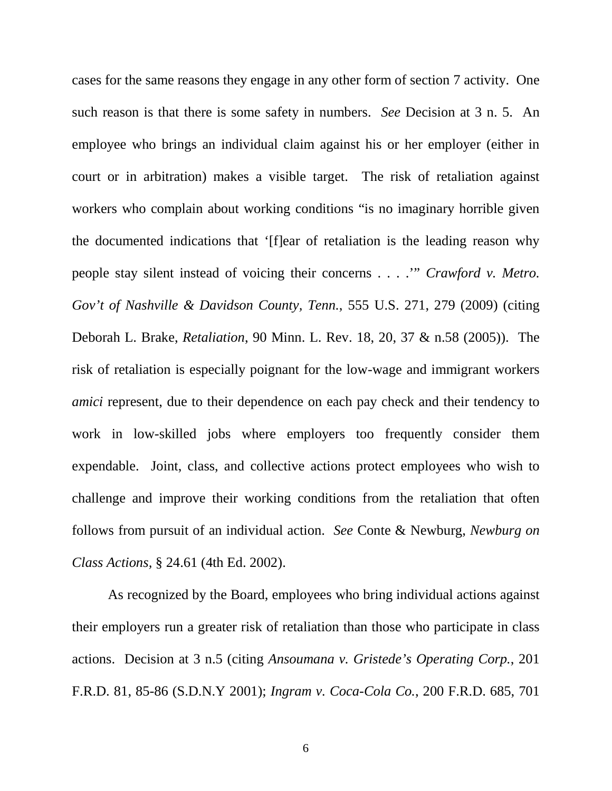cases for the same reasons they engage in any other form of section 7 activity. One such reason is that there is some safety in numbers. *See* Decision at 3 n. 5. An employee who brings an individual claim against his or her employer (either in court or in arbitration) makes a visible target. The risk of retaliation against workers who complain about working conditions "is no imaginary horrible given the documented indications that '[f]ear of retaliation is the leading reason why people stay silent instead of voicing their concerns . . . .'" *Crawford v. Metro. Gov't of Nashville & Davidson County, Tenn.*, 555 U.S. 271, 279 (2009) (citing Deborah L. Brake, *Retaliation*, 90 Minn. L. Rev. 18, 20, 37 & n.58 (2005)). The risk of retaliation is especially poignant for the low-wage and immigrant workers *amici* represent, due to their dependence on each pay check and their tendency to work in low-skilled jobs where employers too frequently consider them expendable. Joint, class, and collective actions protect employees who wish to challenge and improve their working conditions from the retaliation that often follows from pursuit of an individual action. *See* Conte & Newburg, *Newburg on Class Actions,* § 24.61 (4th Ed. 2002).

As recognized by the Board, employees who bring individual actions against their employers run a greater risk of retaliation than those who participate in class actions. Decision at 3 n.5 (citing *Ansoumana v. Gristede's Operating Corp.*, 201 F.R.D. 81, 85-86 (S.D.N.Y 2001); *Ingram v. Coca-Cola Co.*, 200 F.R.D. 685, 701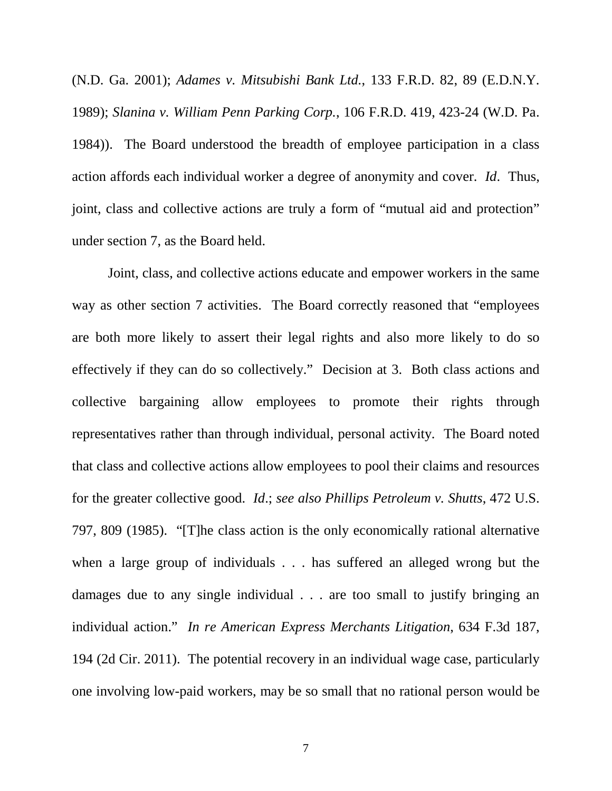(N.D. Ga. 2001); *Adames v. Mitsubishi Bank Ltd.*, 133 F.R.D. 82, 89 (E.D.N.Y. 1989); *Slanina v. William Penn Parking Corp.*, 106 F.R.D. 419, 423-24 (W.D. Pa. 1984)). The Board understood the breadth of employee participation in a class action affords each individual worker a degree of anonymity and cover. *Id*. Thus, joint, class and collective actions are truly a form of "mutual aid and protection" under section 7, as the Board held.

Joint, class, and collective actions educate and empower workers in the same way as other section 7 activities. The Board correctly reasoned that "employees" are both more likely to assert their legal rights and also more likely to do so effectively if they can do so collectively." Decision at 3. Both class actions and collective bargaining allow employees to promote their rights through representatives rather than through individual, personal activity. The Board noted that class and collective actions allow employees to pool their claims and resources for the greater collective good. *Id*.; *see also Phillips Petroleum v. Shutts*, 472 U.S. 797, 809 (1985). "[T]he class action is the only economically rational alternative when a large group of individuals . . . has suffered an alleged wrong but the damages due to any single individual . . . are too small to justify bringing an individual action." *In re American Express Merchants Litigation*, 634 F.3d 187, 194 (2d Cir. 2011). The potential recovery in an individual wage case, particularly one involving low-paid workers, may be so small that no rational person would be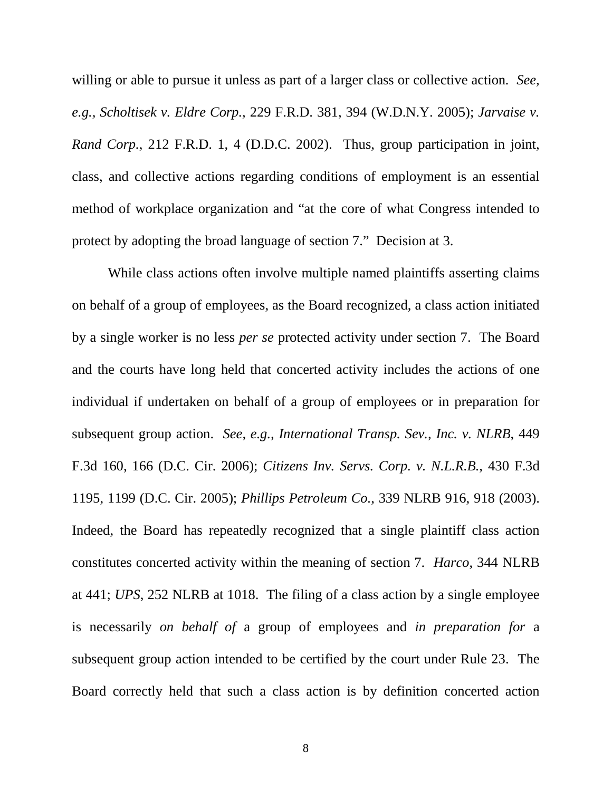willing or able to pursue it unless as part of a larger class or collective action*. See, e.g., Scholtisek v. Eldre Corp.,* 229 F.R.D. 381, 394 (W.D.N.Y. 2005); *Jarvaise v. Rand Corp.*, 212 F.R.D. 1, 4 (D.D.C. 2002). Thus, group participation in joint, class, and collective actions regarding conditions of employment is an essential method of workplace organization and "at the core of what Congress intended to protect by adopting the broad language of section 7." Decision at 3.

While class actions often involve multiple named plaintiffs asserting claims on behalf of a group of employees, as the Board recognized, a class action initiated by a single worker is no less *per se* protected activity under section 7. The Board and the courts have long held that concerted activity includes the actions of one individual if undertaken on behalf of a group of employees or in preparation for subsequent group action. *See, e.g., International Transp. Sev., Inc. v. NLRB*, 449 F.3d 160, 166 (D.C. Cir. 2006); *Citizens Inv. Servs. Corp. v. N.L.R.B.*, 430 F.3d 1195, 1199 (D.C. Cir. 2005); *Phillips Petroleum Co.*, 339 NLRB 916, 918 (2003). Indeed, the Board has repeatedly recognized that a single plaintiff class action constitutes concerted activity within the meaning of section 7. *Harco*, 344 NLRB at 441; *UPS*, 252 NLRB at 1018. The filing of a class action by a single employee is necessarily *on behalf of* a group of employees and *in preparation for* a subsequent group action intended to be certified by the court under Rule 23. The Board correctly held that such a class action is by definition concerted action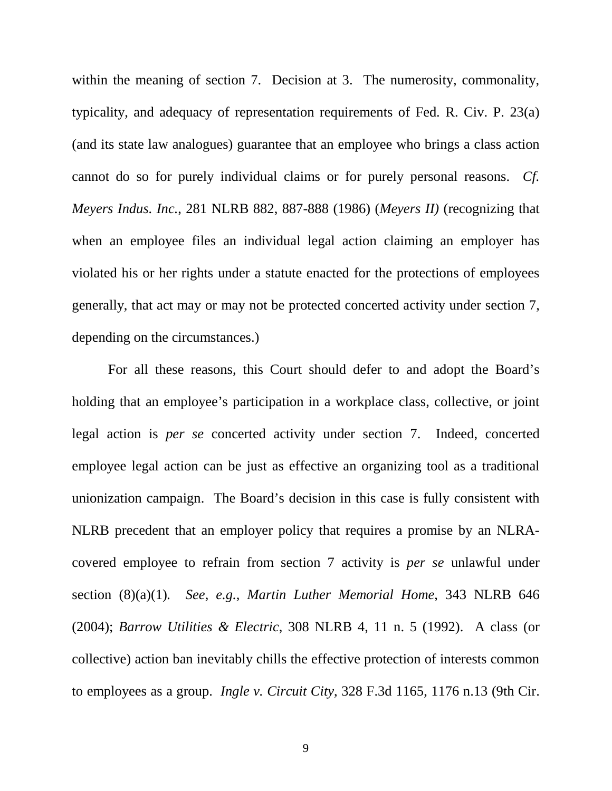within the meaning of section 7. Decision at 3. The numerosity, commonality, typicality, and adequacy of representation requirements of Fed. R. Civ. P. 23(a) (and its state law analogues) guarantee that an employee who brings a class action cannot do so for purely individual claims or for purely personal reasons. *Cf. Meyers Indus. Inc.*, 281 NLRB 882, 887-888 (1986) (*Meyers II)* (recognizing that when an employee files an individual legal action claiming an employer has violated his or her rights under a statute enacted for the protections of employees generally, that act may or may not be protected concerted activity under section 7, depending on the circumstances.)

For all these reasons, this Court should defer to and adopt the Board's holding that an employee's participation in a workplace class, collective, or joint legal action is *per se* concerted activity under section 7. Indeed, concerted employee legal action can be just as effective an organizing tool as a traditional unionization campaign.The Board's decision in this case is fully consistent with NLRB precedent that an employer policy that requires a promise by an NLRAcovered employee to refrain from section 7 activity is *per se* unlawful under section (8)(a)(1)*. See, e.g., Martin Luther Memorial Home*, 343 NLRB 646 (2004); *Barrow Utilities & Electric*, 308 NLRB 4, 11 n. 5 (1992). A class (or collective) action ban inevitably chills the effective protection of interests common to employees as a group. *Ingle v. Circuit City*, 328 F.3d 1165, 1176 n.13 (9th Cir.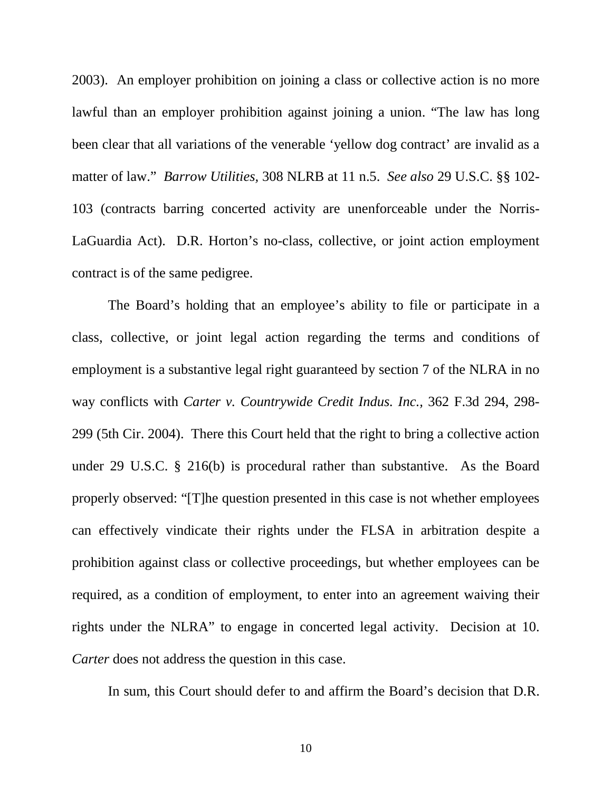2003). An employer prohibition on joining a class or collective action is no more lawful than an employer prohibition against joining a union. "The law has long been clear that all variations of the venerable 'yellow dog contract' are invalid as a matter of law." *Barrow Utilities,* 308 NLRB at 11 n.5. *See also* 29 U.S.C. §§ 102- 103 (contracts barring concerted activity are unenforceable under the Norris-LaGuardia Act). D.R. Horton's no-class, collective, or joint action employment contract is of the same pedigree.

The Board's holding that an employee's ability to file or participate in a class, collective, or joint legal action regarding the terms and conditions of employment is a substantive legal right guaranteed by section 7 of the NLRA in no way conflicts with *Carter v. Countrywide Credit Indus. Inc.,* 362 F.3d 294, 298- 299 (5th Cir. 2004). There this Court held that the right to bring a collective action under 29 U.S.C. § 216(b) is procedural rather than substantive. As the Board properly observed: "[T]he question presented in this case is not whether employees can effectively vindicate their rights under the FLSA in arbitration despite a prohibition against class or collective proceedings, but whether employees can be required, as a condition of employment, to enter into an agreement waiving their rights under the NLRA" to engage in concerted legal activity. Decision at 10. *Carter* does not address the question in this case.

In sum, this Court should defer to and affirm the Board's decision that D.R.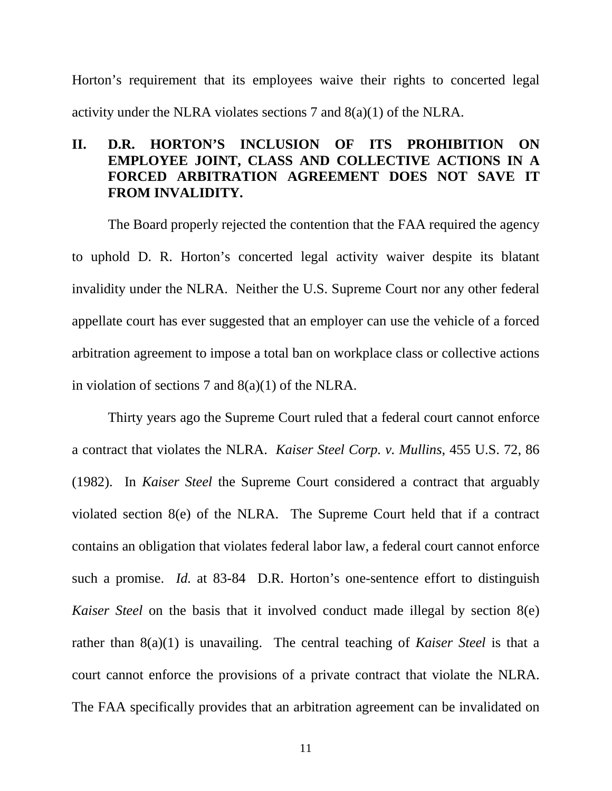Horton's requirement that its employees waive their rights to concerted legal activity under the NLRA violates sections 7 and 8(a)(1) of the NLRA.

# **II. D.R. HORTON'S INCLUSION OF ITS PROHIBITION ON EMPLOYEE JOINT, CLASS AND COLLECTIVE ACTIONS IN A FORCED ARBITRATION AGREEMENT DOES NOT SAVE IT FROM INVALIDITY.**

The Board properly rejected the contention that the FAA required the agency to uphold D. R. Horton's concerted legal activity waiver despite its blatant invalidity under the NLRA. Neither the U.S. Supreme Court nor any other federal appellate court has ever suggested that an employer can use the vehicle of a forced arbitration agreement to impose a total ban on workplace class or collective actions in violation of sections 7 and  $8(a)(1)$  of the NLRA.

Thirty years ago the Supreme Court ruled that a federal court cannot enforce a contract that violates the NLRA. *Kaiser Steel Corp. v. Mullins*, 455 U.S. 72, 86 (1982). In *Kaiser Steel* the Supreme Court considered a contract that arguably violated section 8(e) of the NLRA. The Supreme Court held that if a contract contains an obligation that violates federal labor law, a federal court cannot enforce such a promise. *Id.* at 83-84 D.R. Horton's one-sentence effort to distinguish *Kaiser Steel* on the basis that it involved conduct made illegal by section 8(e) rather than 8(a)(1) is unavailing. The central teaching of *Kaiser Steel* is that a court cannot enforce the provisions of a private contract that violate the NLRA. The FAA specifically provides that an arbitration agreement can be invalidated on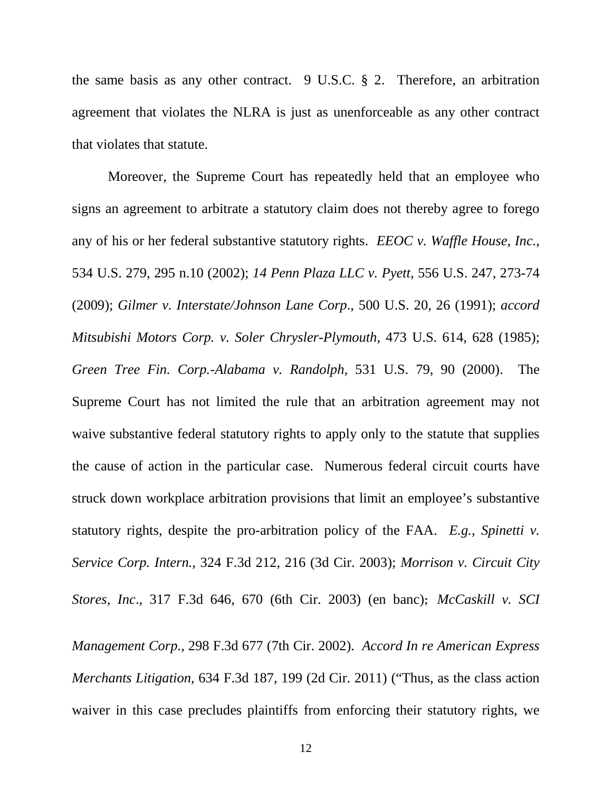the same basis as any other contract. 9 U.S.C. § 2. Therefore, an arbitration agreement that violates the NLRA is just as unenforceable as any other contract that violates that statute.

Moreover, the Supreme Court has repeatedly held that an employee who signs an agreement to arbitrate a statutory claim does not thereby agree to forego any of his or her federal substantive statutory rights. *EEOC v. Waffle House, Inc.*, 534 U.S. 279, 295 n.10 (2002); *14 Penn Plaza LLC v. Pyett*, 556 U.S. 247, 273-74 (2009); *Gilmer v. Interstate/Johnson Lane Corp*., 500 U.S. 20, 26 (1991); *accord Mitsubishi Motors Corp. v. Soler Chrysler-Plymouth*, 473 U.S. 614, 628 (1985); *Green Tree Fin. Corp.-Alabama v. Randolph*, 531 U.S. 79, 90 (2000). The Supreme Court has not limited the rule that an arbitration agreement may not waive substantive federal statutory rights to apply only to the statute that supplies the cause of action in the particular case. Numerous federal circuit courts have struck down workplace arbitration provisions that limit an employee's substantive statutory rights, despite the pro-arbitration policy of the FAA. *E.g., Spinetti v. Service Corp. Intern.*, 324 F.3d 212, 216 (3d Cir. 2003); *Morrison v. Circuit City Stores, Inc*., 317 F.3d 646, 670 (6th Cir. 2003) (en banc); *McCaskill v. SCI Management Corp.*, 298 F.3d 677 (7th Cir. 2002). *Accord In re American Express Merchants Litigation,* 634 F.3d 187, 199 (2d Cir. 2011) ("Thus, as the class action

waiver in this case precludes plaintiffs from enforcing their statutory rights, we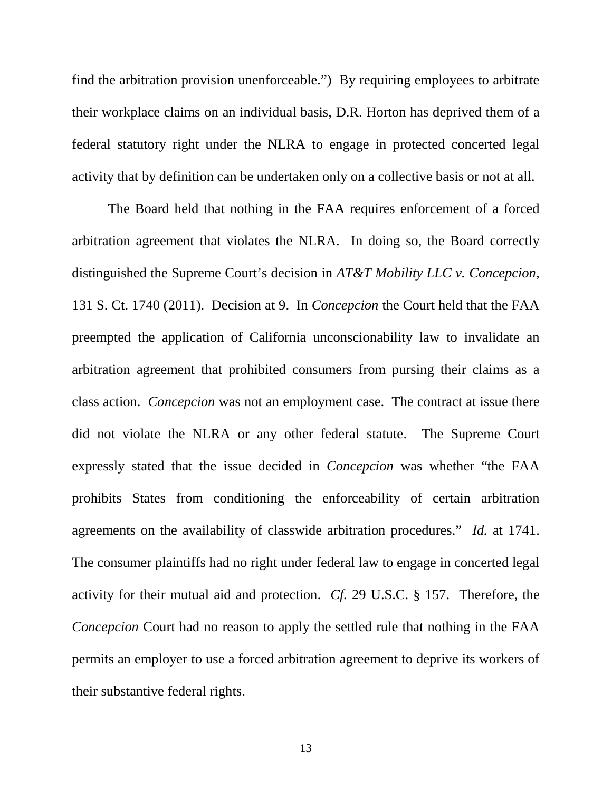find the arbitration provision unenforceable.") By requiring employees to arbitrate their workplace claims on an individual basis, D.R. Horton has deprived them of a federal statutory right under the NLRA to engage in protected concerted legal activity that by definition can be undertaken only on a collective basis or not at all.

The Board held that nothing in the FAA requires enforcement of a forced arbitration agreement that violates the NLRA. In doing so, the Board correctly distinguished the Supreme Court's decision in *AT&T Mobility LLC v. Concepcion*, 131 S. Ct. 1740 (2011). Decision at 9. In *Concepcion* the Court held that the FAA preempted the application of California unconscionability law to invalidate an arbitration agreement that prohibited consumers from pursing their claims as a class action. *Concepcion* was not an employment case. The contract at issue there did not violate the NLRA or any other federal statute. The Supreme Court expressly stated that the issue decided in *Concepcion* was whether "the FAA prohibits States from conditioning the enforceability of certain arbitration agreements on the availability of classwide arbitration procedures." *Id.* at 1741. The consumer plaintiffs had no right under federal law to engage in concerted legal activity for their mutual aid and protection. *Cf.* 29 U.S.C. § 157. Therefore, the *Concepcion* Court had no reason to apply the settled rule that nothing in the FAA permits an employer to use a forced arbitration agreement to deprive its workers of their substantive federal rights.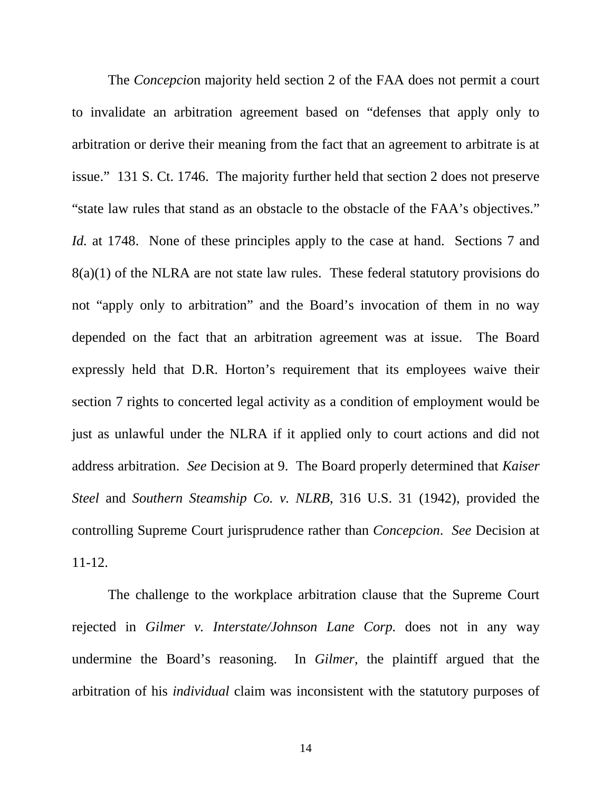The *Concepcio*n majority held section 2 of the FAA does not permit a court to invalidate an arbitration agreement based on "defenses that apply only to arbitration or derive their meaning from the fact that an agreement to arbitrate is at issue." 131 S. Ct. 1746. The majority further held that section 2 does not preserve "state law rules that stand as an obstacle to the obstacle of the FAA's objectives." *Id.* at 1748. None of these principles apply to the case at hand. Sections 7 and 8(a)(1) of the NLRA are not state law rules. These federal statutory provisions do not "apply only to arbitration" and the Board's invocation of them in no way depended on the fact that an arbitration agreement was at issue. The Board expressly held that D.R. Horton's requirement that its employees waive their section 7 rights to concerted legal activity as a condition of employment would be just as unlawful under the NLRA if it applied only to court actions and did not address arbitration. *See* Decision at 9. The Board properly determined that *Kaiser Steel* and *Southern Steamship Co. v. NLRB*, 316 U.S. 31 (1942), provided the controlling Supreme Court jurisprudence rather than *Concepcion*. *See* Decision at 11-12.

The challenge to the workplace arbitration clause that the Supreme Court rejected in *Gilmer v. Interstate/Johnson Lane Corp.* does not in any way undermine the Board's reasoning. In *Gilmer*, the plaintiff argued that the arbitration of his *individual* claim was inconsistent with the statutory purposes of

14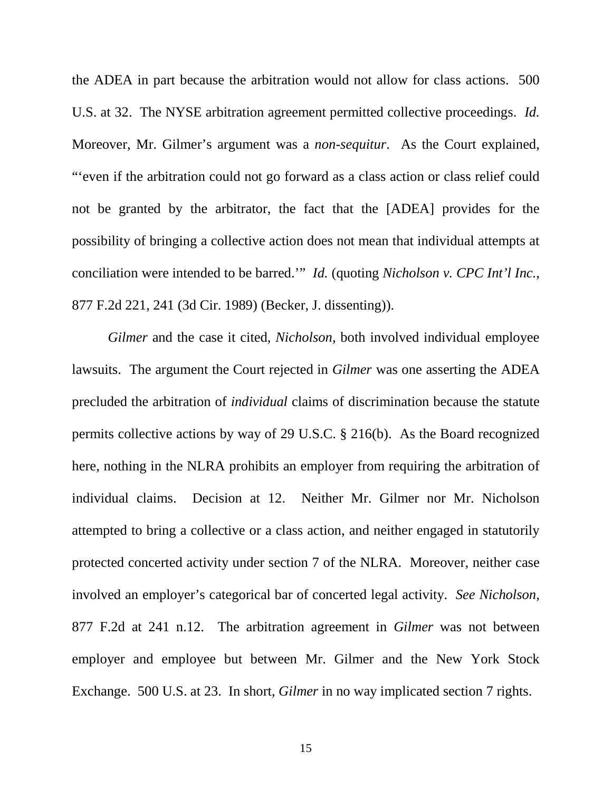the ADEA in part because the arbitration would not allow for class actions. 500 U.S. at 32. The NYSE arbitration agreement permitted collective proceedings. *Id.* Moreover, Mr. Gilmer's argument was a *non-sequitur*. As the Court explained, "'even if the arbitration could not go forward as a class action or class relief could not be granted by the arbitrator, the fact that the [ADEA] provides for the possibility of bringing a collective action does not mean that individual attempts at conciliation were intended to be barred.'" *Id.* (quoting *Nicholson v. CPC Int'l Inc.*, 877 F.2d 221, 241 (3d Cir. 1989) (Becker, J. dissenting)).

*Gilmer* and the case it cited, *Nicholson*, both involved individual employee lawsuits. The argument the Court rejected in *Gilmer* was one asserting the ADEA precluded the arbitration of *individual* claims of discrimination because the statute permits collective actions by way of 29 U.S.C. § 216(b). As the Board recognized here, nothing in the NLRA prohibits an employer from requiring the arbitration of individual claims. Decision at 12. Neither Mr. Gilmer nor Mr. Nicholson attempted to bring a collective or a class action, and neither engaged in statutorily protected concerted activity under section 7 of the NLRA. Moreover, neither case involved an employer's categorical bar of concerted legal activity. *See Nicholson*, 877 F.2d at 241 n.12. The arbitration agreement in *Gilmer* was not between employer and employee but between Mr. Gilmer and the New York Stock Exchange. 500 U.S. at 23. In short, *Gilmer* in no way implicated section 7 rights.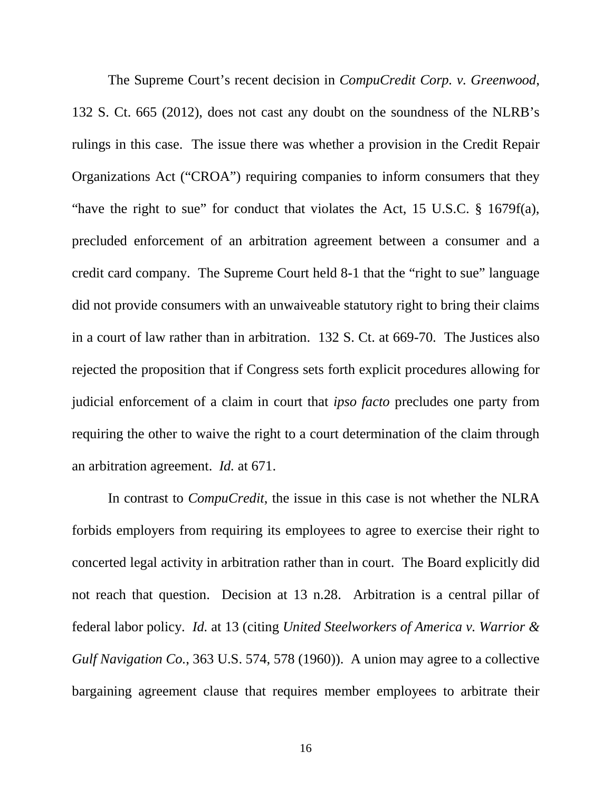The Supreme Court's recent decision in *CompuCredit Corp. v. Greenwood*, 132 S. Ct. 665 (2012), does not cast any doubt on the soundness of the NLRB's rulings in this case. The issue there was whether a provision in the Credit Repair Organizations Act ("CROA") requiring companies to inform consumers that they "have the right to sue" for conduct that violates the Act, 15 U.S.C. § 1679f(a), precluded enforcement of an arbitration agreement between a consumer and a credit card company. The Supreme Court held 8-1 that the "right to sue" language did not provide consumers with an unwaiveable statutory right to bring their claims in a court of law rather than in arbitration. 132 S. Ct. at 669-70. The Justices also rejected the proposition that if Congress sets forth explicit procedures allowing for judicial enforcement of a claim in court that *ipso facto* precludes one party from requiring the other to waive the right to a court determination of the claim through an arbitration agreement. *Id.* at 671.

In contrast to *CompuCredit*, the issue in this case is not whether the NLRA forbids employers from requiring its employees to agree to exercise their right to concerted legal activity in arbitration rather than in court. The Board explicitly did not reach that question. Decision at 13 n.28. Arbitration is a central pillar of federal labor policy. *Id.* at 13 (citing *United Steelworkers of America v. Warrior & Gulf Navigation Co.*, 363 U.S. 574, 578 (1960)). A union may agree to a collective bargaining agreement clause that requires member employees to arbitrate their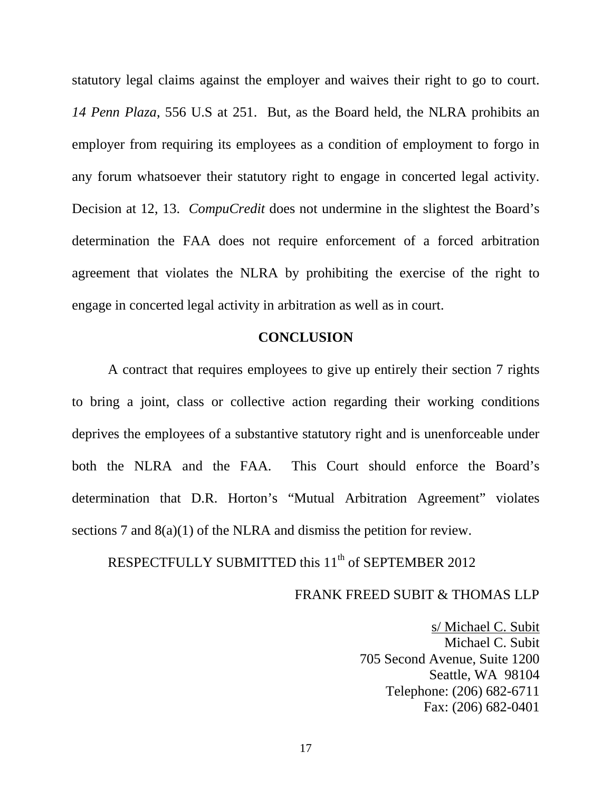statutory legal claims against the employer and waives their right to go to court. *14 Penn Plaza*, 556 U.S at 251. But, as the Board held, the NLRA prohibits an employer from requiring its employees as a condition of employment to forgo in any forum whatsoever their statutory right to engage in concerted legal activity. Decision at 12, 13. *CompuCredit* does not undermine in the slightest the Board's determination the FAA does not require enforcement of a forced arbitration agreement that violates the NLRA by prohibiting the exercise of the right to engage in concerted legal activity in arbitration as well as in court.

## **CONCLUSION**

A contract that requires employees to give up entirely their section 7 rights to bring a joint, class or collective action regarding their working conditions deprives the employees of a substantive statutory right and is unenforceable under both the NLRA and the FAA. This Court should enforce the Board's determination that D.R. Horton's "Mutual Arbitration Agreement" violates sections 7 and 8(a)(1) of the NLRA and dismiss the petition for review.

RESPECTFULLY SUBMITTED this 11<sup>th</sup> of SEPTEMBER 2012

### FRANK FREED SUBIT & THOMAS LLP

s/ Michael C. Subit Michael C. Subit 705 Second Avenue, Suite 1200 Seattle, WA 98104 Telephone: (206) 682-6711 Fax: (206) 682-0401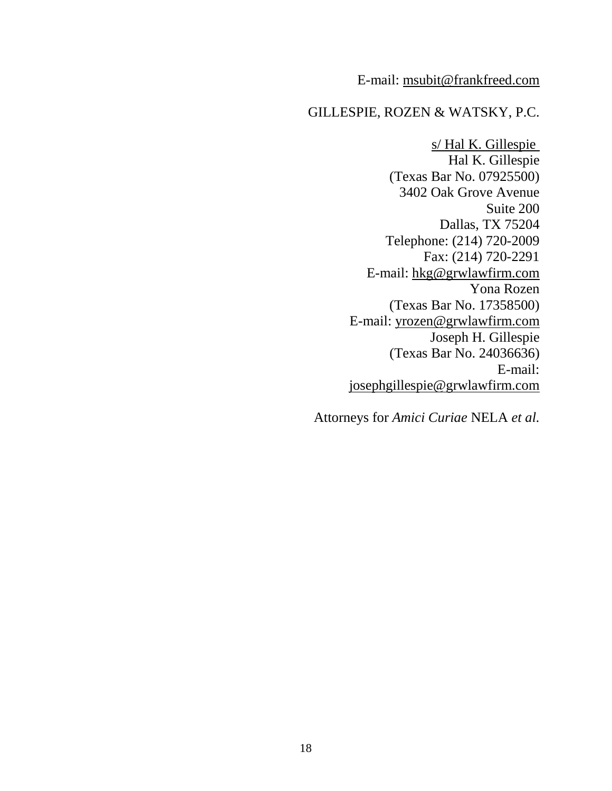## E-mail: msubit@frankfreed.com

# GILLESPIE, ROZEN & WATSKY, P.C.

s/ Hal K. Gillespie Hal K. Gillespie (Texas Bar No. 07925500) 3402 Oak Grove Avenue Suite 200 Dallas, TX 75204 Telephone: (214) 720-2009 Fax: (214) 720-2291 E-mail: hkg@grwlawfirm.com Yona Rozen (Texas Bar No. 17358500) E-mail: yrozen@grwlawfirm.com Joseph H. Gillespie (Texas Bar No. 24036636) E-mail: josephgillespie@grwlawfirm.com

Attorneys for *Amici Curiae* NELA *et al.*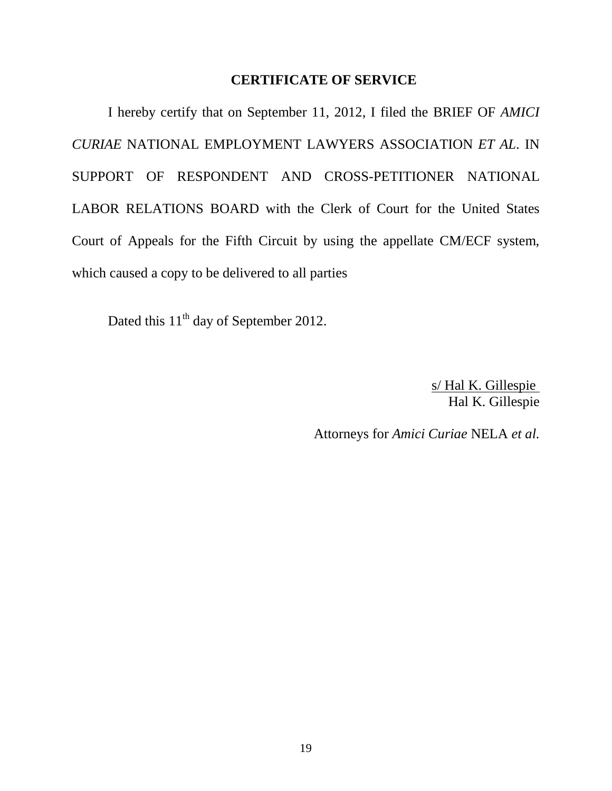#### **CERTIFICATE OF SERVICE**

I hereby certify that on September 11, 2012, I filed the BRIEF OF *AMICI CURIAE* NATIONAL EMPLOYMENT LAWYERS ASSOCIATION *ET AL*. IN SUPPORT OF RESPONDENT AND CROSS-PETITIONER NATIONAL LABOR RELATIONS BOARD with the Clerk of Court for the United States Court of Appeals for the Fifth Circuit by using the appellate CM/ECF system, which caused a copy to be delivered to all parties

Dated this 11<sup>th</sup> day of September 2012.

s/ Hal K. Gillespie Hal K. Gillespie

Attorneys for *Amici Curiae* NELA *et al.*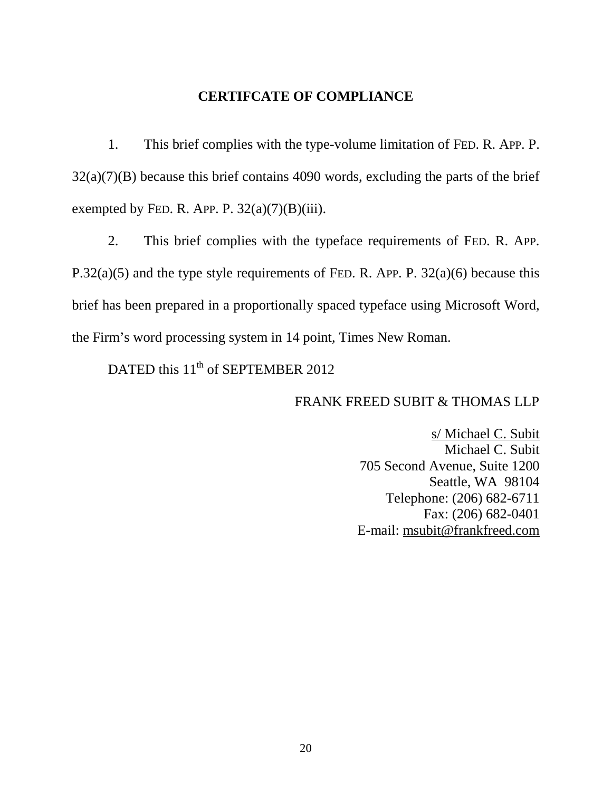## **CERTIFCATE OF COMPLIANCE**

1. This brief complies with the type-volume limitation of FED. R. APP. P. 32(a)(7)(B) because this brief contains 4090 words, excluding the parts of the brief exempted by FED. R. APP. P.  $32(a)(7)(B)(iii)$ .

2. This brief complies with the typeface requirements of FED. R. APP. P.32(a)(5) and the type style requirements of FED. R. APP. P. 32(a)(6) because this brief has been prepared in a proportionally spaced typeface using Microsoft Word, the Firm's word processing system in 14 point, Times New Roman.

DATED this  $11<sup>th</sup>$  of SEPTEMBER 2012

### FRANK FREED SUBIT & THOMAS LLP

s/ Michael C. Subit Michael C. Subit 705 Second Avenue, Suite 1200 Seattle, WA 98104 Telephone: (206) 682-6711 Fax: (206) 682-0401 E-mail: msubit@frankfreed.com